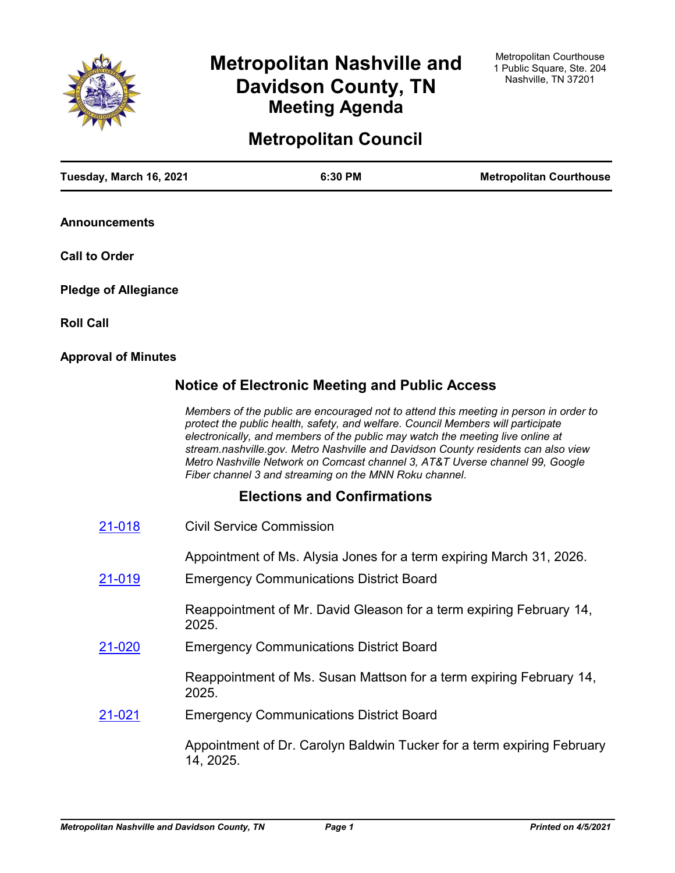

# **Metropolitan Nashville and Davidson County, TN Meeting Agenda**

# **Metropolitan Council**

| Tuesday, March 16, 2021     |                                 | 6:30 PM                                                | <b>Metropolitan Courthouse</b>                                                                                                                                                                                                                                                                                                                                                                                                   |
|-----------------------------|---------------------------------|--------------------------------------------------------|----------------------------------------------------------------------------------------------------------------------------------------------------------------------------------------------------------------------------------------------------------------------------------------------------------------------------------------------------------------------------------------------------------------------------------|
| <b>Announcements</b>        |                                 |                                                        |                                                                                                                                                                                                                                                                                                                                                                                                                                  |
| <b>Call to Order</b>        |                                 |                                                        |                                                                                                                                                                                                                                                                                                                                                                                                                                  |
| <b>Pledge of Allegiance</b> |                                 |                                                        |                                                                                                                                                                                                                                                                                                                                                                                                                                  |
| <b>Roll Call</b>            |                                 |                                                        |                                                                                                                                                                                                                                                                                                                                                                                                                                  |
| <b>Approval of Minutes</b>  |                                 |                                                        |                                                                                                                                                                                                                                                                                                                                                                                                                                  |
|                             |                                 | <b>Notice of Electronic Meeting and Public Access</b>  |                                                                                                                                                                                                                                                                                                                                                                                                                                  |
|                             |                                 | Fiber channel 3 and streaming on the MNN Roku channel. | Members of the public are encouraged not to attend this meeting in person in order to<br>protect the public health, safety, and welfare. Council Members will participate<br>electronically, and members of the public may watch the meeting live online at<br>stream.nashville.gov. Metro Nashville and Davidson County residents can also view<br>Metro Nashville Network on Comcast channel 3, AT&T Uverse channel 99, Google |
|                             |                                 | <b>Elections and Confirmations</b>                     |                                                                                                                                                                                                                                                                                                                                                                                                                                  |
| 21-018                      | <b>Civil Service Commission</b> |                                                        |                                                                                                                                                                                                                                                                                                                                                                                                                                  |
| 21-019                      |                                 | <b>Emergency Communications District Board</b>         | Appointment of Ms. Alysia Jones for a term expiring March 31, 2026.                                                                                                                                                                                                                                                                                                                                                              |
|                             | 2025.                           |                                                        | Reappointment of Mr. David Gleason for a term expiring February 14,                                                                                                                                                                                                                                                                                                                                                              |
| <u>21-020</u>               |                                 | <b>Emergency Communications District Board</b>         |                                                                                                                                                                                                                                                                                                                                                                                                                                  |
|                             | 2025.                           |                                                        | Reappointment of Ms. Susan Mattson for a term expiring February 14,                                                                                                                                                                                                                                                                                                                                                              |
| 21-021                      |                                 | <b>Emergency Communications District Board</b>         |                                                                                                                                                                                                                                                                                                                                                                                                                                  |
|                             | 14, 2025.                       |                                                        | Appointment of Dr. Carolyn Baldwin Tucker for a term expiring February                                                                                                                                                                                                                                                                                                                                                           |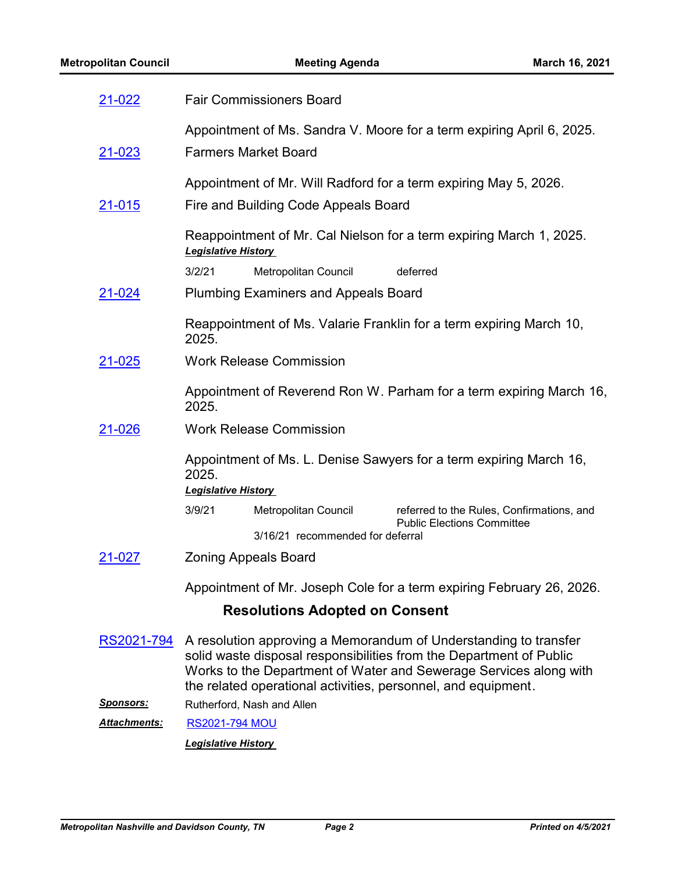| 21-022              | <b>Fair Commissioners Board</b>                                                                                                                                                                                                                                               |
|---------------------|-------------------------------------------------------------------------------------------------------------------------------------------------------------------------------------------------------------------------------------------------------------------------------|
|                     | Appointment of Ms. Sandra V. Moore for a term expiring April 6, 2025.                                                                                                                                                                                                         |
| 21-023              | <b>Farmers Market Board</b>                                                                                                                                                                                                                                                   |
|                     | Appointment of Mr. Will Radford for a term expiring May 5, 2026.                                                                                                                                                                                                              |
| <u>21-015</u>       | Fire and Building Code Appeals Board                                                                                                                                                                                                                                          |
|                     | Reappointment of Mr. Cal Nielson for a term expiring March 1, 2025.<br><b>Legislative History</b>                                                                                                                                                                             |
|                     | 3/2/21<br>Metropolitan Council<br>deferred                                                                                                                                                                                                                                    |
| <u>21-024</u>       | <b>Plumbing Examiners and Appeals Board</b>                                                                                                                                                                                                                                   |
|                     | Reappointment of Ms. Valarie Franklin for a term expiring March 10,<br>2025.                                                                                                                                                                                                  |
| 21-025              | <b>Work Release Commission</b>                                                                                                                                                                                                                                                |
|                     | Appointment of Reverend Ron W. Parham for a term expiring March 16,<br>2025.                                                                                                                                                                                                  |
| 21-026              | <b>Work Release Commission</b>                                                                                                                                                                                                                                                |
|                     | Appointment of Ms. L. Denise Sawyers for a term expiring March 16,<br>2025.<br><b>Legislative History</b>                                                                                                                                                                     |
|                     | 3/9/21<br>Metropolitan Council<br>referred to the Rules, Confirmations, and                                                                                                                                                                                                   |
|                     | <b>Public Elections Committee</b>                                                                                                                                                                                                                                             |
|                     | 3/16/21 recommended for deferral                                                                                                                                                                                                                                              |
| 21-027              | <b>Zoning Appeals Board</b>                                                                                                                                                                                                                                                   |
|                     | Appointment of Mr. Joseph Cole for a term expiring February 26, 2026.                                                                                                                                                                                                         |
|                     | <b>Resolutions Adopted on Consent</b>                                                                                                                                                                                                                                         |
| RS2021-794          | A resolution approving a Memorandum of Understanding to transfer<br>solid waste disposal responsibilities from the Department of Public<br>Works to the Department of Water and Sewerage Services along with<br>the related operational activities, personnel, and equipment. |
| <u>Sponsors:</u>    | Rutherford, Nash and Allen                                                                                                                                                                                                                                                    |
| <b>Attachments:</b> | <b>RS2021-794 MOU</b>                                                                                                                                                                                                                                                         |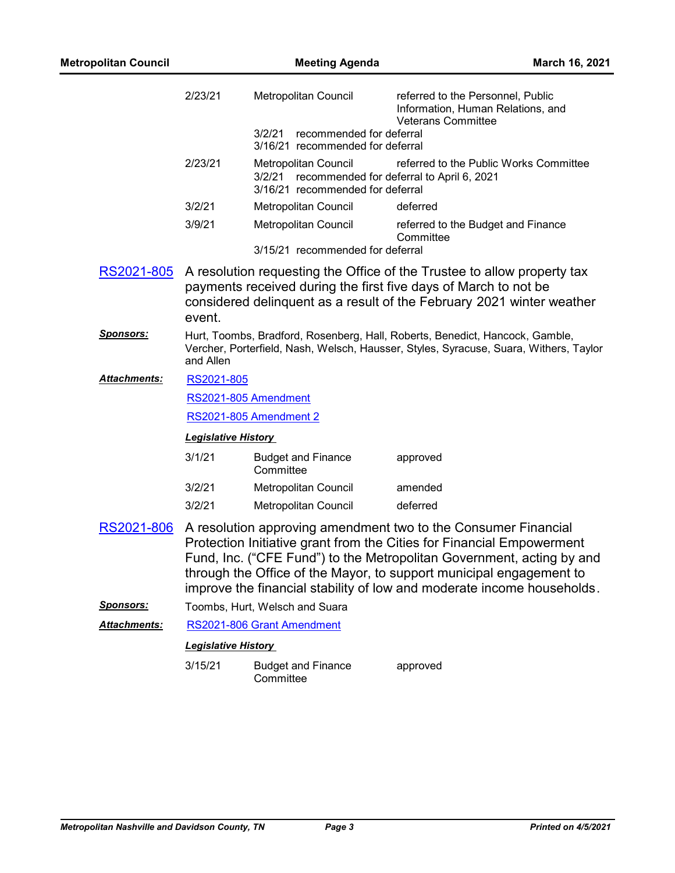| <b>Metropolitan Council</b> |                            | <b>Meeting Agenda</b>                                                     | March 16, 2021                                                                                                                                                                                                                                                                                                                                                    |
|-----------------------------|----------------------------|---------------------------------------------------------------------------|-------------------------------------------------------------------------------------------------------------------------------------------------------------------------------------------------------------------------------------------------------------------------------------------------------------------------------------------------------------------|
|                             | 2/23/21                    | Metropolitan Council                                                      | referred to the Personnel, Public<br>Information, Human Relations, and<br><b>Veterans Committee</b>                                                                                                                                                                                                                                                               |
|                             |                            | recommended for deferral<br>3/2/21<br>3/16/21 recommended for deferral    |                                                                                                                                                                                                                                                                                                                                                                   |
|                             | 2/23/21                    | <b>Metropolitan Council</b><br>3/2/21<br>3/16/21 recommended for deferral | referred to the Public Works Committee<br>recommended for deferral to April 6, 2021                                                                                                                                                                                                                                                                               |
|                             | 3/2/21                     | Metropolitan Council                                                      | deferred                                                                                                                                                                                                                                                                                                                                                          |
|                             | 3/9/21                     | Metropolitan Council                                                      | referred to the Budget and Finance<br>Committee                                                                                                                                                                                                                                                                                                                   |
|                             |                            | 3/15/21 recommended for deferral                                          |                                                                                                                                                                                                                                                                                                                                                                   |
| RS2021-805                  | event.                     |                                                                           | A resolution requesting the Office of the Trustee to allow property tax<br>payments received during the first five days of March to not be<br>considered delinquent as a result of the February 2021 winter weather                                                                                                                                               |
| <u>Sponsors:</u>            | and Allen                  |                                                                           | Hurt, Toombs, Bradford, Rosenberg, Hall, Roberts, Benedict, Hancock, Gamble,<br>Vercher, Porterfield, Nash, Welsch, Hausser, Styles, Syracuse, Suara, Withers, Taylor                                                                                                                                                                                             |
| Attachments:                | RS2021-805                 |                                                                           |                                                                                                                                                                                                                                                                                                                                                                   |
|                             |                            | RS2021-805 Amendment                                                      |                                                                                                                                                                                                                                                                                                                                                                   |
|                             |                            | <b>RS2021-805 Amendment 2</b>                                             |                                                                                                                                                                                                                                                                                                                                                                   |
|                             | <b>Legislative History</b> |                                                                           |                                                                                                                                                                                                                                                                                                                                                                   |
|                             | 3/1/21                     | <b>Budget and Finance</b><br>Committee                                    | approved                                                                                                                                                                                                                                                                                                                                                          |
|                             | 3/2/21                     | Metropolitan Council                                                      | amended                                                                                                                                                                                                                                                                                                                                                           |
|                             | 3/2/21                     | Metropolitan Council                                                      | deferred                                                                                                                                                                                                                                                                                                                                                          |
| RS2021-806                  |                            |                                                                           | A resolution approving amendment two to the Consumer Financial<br>Protection Initiative grant from the Cities for Financial Empowerment<br>Fund, Inc. ("CFE Fund") to the Metropolitan Government, acting by and<br>through the Office of the Mayor, to support municipal engagement to<br>improve the financial stability of low and moderate income households. |
| <b>Sponsors:</b>            |                            | Toombs, Hurt, Welsch and Suara                                            |                                                                                                                                                                                                                                                                                                                                                                   |
| Attachments:                |                            | RS2021-806 Grant Amendment                                                |                                                                                                                                                                                                                                                                                                                                                                   |
|                             | <b>Legislative History</b> |                                                                           |                                                                                                                                                                                                                                                                                                                                                                   |

3/15/21 Budget and Finance **Committee** approved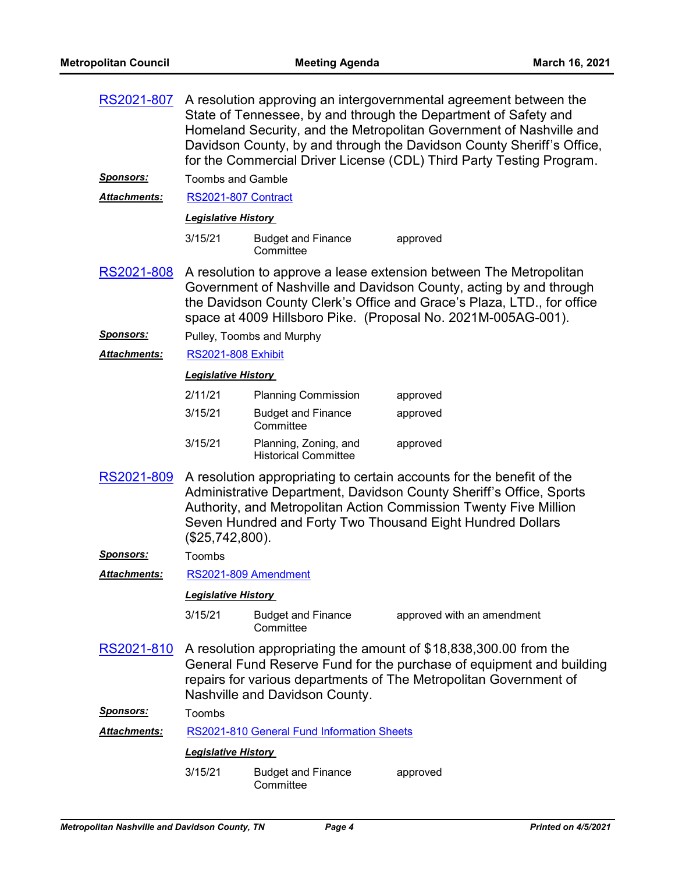| RS2021-807          | A resolution approving an intergovernmental agreement between the<br>State of Tennessee, by and through the Department of Safety and<br>Homeland Security, and the Metropolitan Government of Nashville and<br>Davidson County, by and through the Davidson County Sheriff's Office,<br>for the Commercial Driver License (CDL) Third Party Testing Program. |                                                      |                                                                                                                                                                                                                                                                                     |
|---------------------|--------------------------------------------------------------------------------------------------------------------------------------------------------------------------------------------------------------------------------------------------------------------------------------------------------------------------------------------------------------|------------------------------------------------------|-------------------------------------------------------------------------------------------------------------------------------------------------------------------------------------------------------------------------------------------------------------------------------------|
| <u>Sponsors:</u>    | <b>Toombs and Gamble</b>                                                                                                                                                                                                                                                                                                                                     |                                                      |                                                                                                                                                                                                                                                                                     |
| <b>Attachments:</b> | RS2021-807 Contract                                                                                                                                                                                                                                                                                                                                          |                                                      |                                                                                                                                                                                                                                                                                     |
|                     | <b>Legislative History</b>                                                                                                                                                                                                                                                                                                                                   |                                                      |                                                                                                                                                                                                                                                                                     |
|                     | 3/15/21                                                                                                                                                                                                                                                                                                                                                      | <b>Budget and Finance</b><br>Committee               | approved                                                                                                                                                                                                                                                                            |
| <u>RS2021-808</u>   |                                                                                                                                                                                                                                                                                                                                                              |                                                      | A resolution to approve a lease extension between The Metropolitan<br>Government of Nashville and Davidson County, acting by and through<br>the Davidson County Clerk's Office and Grace's Plaza, LTD., for office<br>space at 4009 Hillsboro Pike. (Proposal No. 2021M-005AG-001). |
| <u>Sponsors:</u>    |                                                                                                                                                                                                                                                                                                                                                              | Pulley, Toombs and Murphy                            |                                                                                                                                                                                                                                                                                     |
| Attachments:        | <b>RS2021-808 Exhibit</b>                                                                                                                                                                                                                                                                                                                                    |                                                      |                                                                                                                                                                                                                                                                                     |
|                     | <b>Legislative History</b>                                                                                                                                                                                                                                                                                                                                   |                                                      |                                                                                                                                                                                                                                                                                     |
|                     | 2/11/21                                                                                                                                                                                                                                                                                                                                                      | <b>Planning Commission</b>                           | approved                                                                                                                                                                                                                                                                            |
|                     | 3/15/21                                                                                                                                                                                                                                                                                                                                                      | <b>Budget and Finance</b><br>Committee               | approved                                                                                                                                                                                                                                                                            |
|                     | 3/15/21                                                                                                                                                                                                                                                                                                                                                      | Planning, Zoning, and<br><b>Historical Committee</b> | approved                                                                                                                                                                                                                                                                            |
| RS2021-809          | (\$25,742,800).                                                                                                                                                                                                                                                                                                                                              |                                                      | A resolution appropriating to certain accounts for the benefit of the<br>Administrative Department, Davidson County Sheriff's Office, Sports<br>Authority, and Metropolitan Action Commission Twenty Five Million<br>Seven Hundred and Forty Two Thousand Eight Hundred Dollars     |
| <b>Sponsors:</b>    | Toombs                                                                                                                                                                                                                                                                                                                                                       |                                                      |                                                                                                                                                                                                                                                                                     |
| <b>Attachments:</b> |                                                                                                                                                                                                                                                                                                                                                              | RS2021-809 Amendment                                 |                                                                                                                                                                                                                                                                                     |
|                     | <b>Legislative History</b>                                                                                                                                                                                                                                                                                                                                   |                                                      |                                                                                                                                                                                                                                                                                     |
|                     | 3/15/21                                                                                                                                                                                                                                                                                                                                                      | <b>Budget and Finance</b><br>Committee               | approved with an amendment                                                                                                                                                                                                                                                          |
| <u>RS2021-810</u>   |                                                                                                                                                                                                                                                                                                                                                              | Nashville and Davidson County.                       | A resolution appropriating the amount of \$18,838,300.00 from the<br>General Fund Reserve Fund for the purchase of equipment and building<br>repairs for various departments of The Metropolitan Government of                                                                      |
| <b>Sponsors:</b>    | Toombs                                                                                                                                                                                                                                                                                                                                                       |                                                      |                                                                                                                                                                                                                                                                                     |
| <b>Attachments:</b> |                                                                                                                                                                                                                                                                                                                                                              | RS2021-810 General Fund Information Sheets           |                                                                                                                                                                                                                                                                                     |
|                     | <b>Legislative History</b>                                                                                                                                                                                                                                                                                                                                   |                                                      |                                                                                                                                                                                                                                                                                     |
|                     | 3/15/21                                                                                                                                                                                                                                                                                                                                                      | <b>Budget and Finance</b><br>Committee               | approved                                                                                                                                                                                                                                                                            |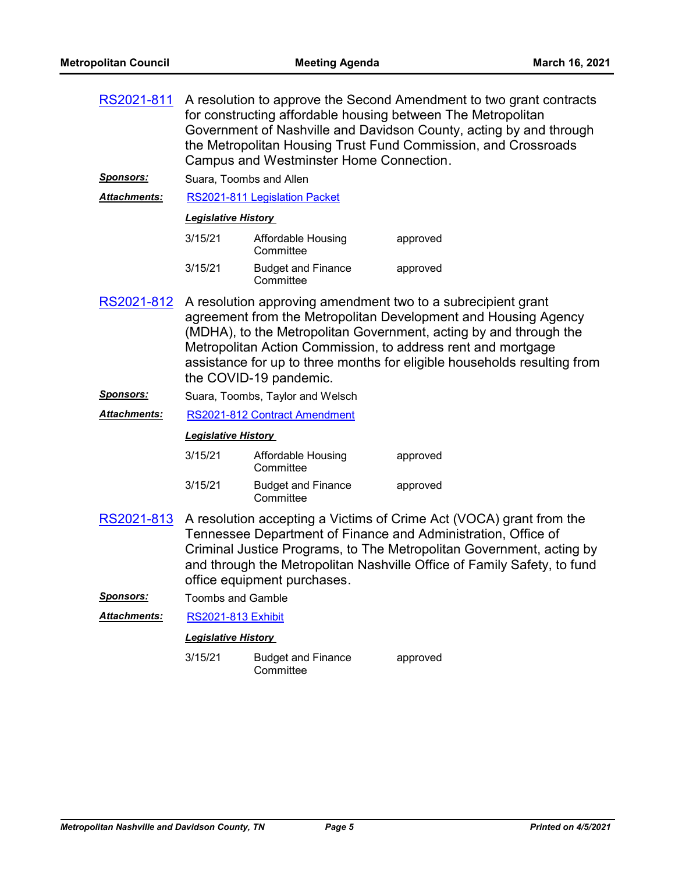| RS2021-811          | A resolution to approve the Second Amendment to two grant contracts<br>for constructing affordable housing between The Metropolitan<br>Government of Nashville and Davidson County, acting by and through<br>the Metropolitan Housing Trust Fund Commission, and Crossroads<br>Campus and Westminster Home Connection. |                                        |                                                                                                                                                                                                                                                                                                                                                 |  |
|---------------------|------------------------------------------------------------------------------------------------------------------------------------------------------------------------------------------------------------------------------------------------------------------------------------------------------------------------|----------------------------------------|-------------------------------------------------------------------------------------------------------------------------------------------------------------------------------------------------------------------------------------------------------------------------------------------------------------------------------------------------|--|
| <u>Sponsors:</u>    | Suara, Toombs and Allen                                                                                                                                                                                                                                                                                                |                                        |                                                                                                                                                                                                                                                                                                                                                 |  |
| <b>Attachments:</b> |                                                                                                                                                                                                                                                                                                                        | RS2021-811 Legislation Packet          |                                                                                                                                                                                                                                                                                                                                                 |  |
|                     | <b>Legislative History</b>                                                                                                                                                                                                                                                                                             |                                        |                                                                                                                                                                                                                                                                                                                                                 |  |
|                     | 3/15/21                                                                                                                                                                                                                                                                                                                | Affordable Housing<br>Committee        | approved                                                                                                                                                                                                                                                                                                                                        |  |
|                     | 3/15/21                                                                                                                                                                                                                                                                                                                | <b>Budget and Finance</b><br>Committee | approved                                                                                                                                                                                                                                                                                                                                        |  |
| RS2021-812          |                                                                                                                                                                                                                                                                                                                        | the COVID-19 pandemic.                 | A resolution approving amendment two to a subrecipient grant<br>agreement from the Metropolitan Development and Housing Agency<br>(MDHA), to the Metropolitan Government, acting by and through the<br>Metropolitan Action Commission, to address rent and mortgage<br>assistance for up to three months for eligible households resulting from |  |
| <u>Sponsors:</u>    |                                                                                                                                                                                                                                                                                                                        | Suara, Toombs, Taylor and Welsch       |                                                                                                                                                                                                                                                                                                                                                 |  |
| <b>Attachments:</b> |                                                                                                                                                                                                                                                                                                                        | RS2021-812 Contract Amendment          |                                                                                                                                                                                                                                                                                                                                                 |  |
|                     |                                                                                                                                                                                                                                                                                                                        | <b>Legislative History</b>             |                                                                                                                                                                                                                                                                                                                                                 |  |
|                     | 3/15/21                                                                                                                                                                                                                                                                                                                | Affordable Housing<br>Committee        | approved                                                                                                                                                                                                                                                                                                                                        |  |
|                     | 3/15/21                                                                                                                                                                                                                                                                                                                | <b>Budget and Finance</b><br>Committee | approved                                                                                                                                                                                                                                                                                                                                        |  |
| RS2021-813          |                                                                                                                                                                                                                                                                                                                        | office equipment purchases.            | A resolution accepting a Victims of Crime Act (VOCA) grant from the<br>Tennessee Department of Finance and Administration, Office of<br>Criminal Justice Programs, to The Metropolitan Government, acting by<br>and through the Metropolitan Nashville Office of Family Safety, to fund                                                         |  |
| <u>Sponsors:</u>    | <b>Toombs and Gamble</b>                                                                                                                                                                                                                                                                                               |                                        |                                                                                                                                                                                                                                                                                                                                                 |  |
| Attachments:        | <b>RS2021-813 Exhibit</b>                                                                                                                                                                                                                                                                                              |                                        |                                                                                                                                                                                                                                                                                                                                                 |  |
|                     | <b>Legislative History</b>                                                                                                                                                                                                                                                                                             |                                        |                                                                                                                                                                                                                                                                                                                                                 |  |
|                     | 3/15/21                                                                                                                                                                                                                                                                                                                | <b>Budget and Finance</b><br>Committee | approved                                                                                                                                                                                                                                                                                                                                        |  |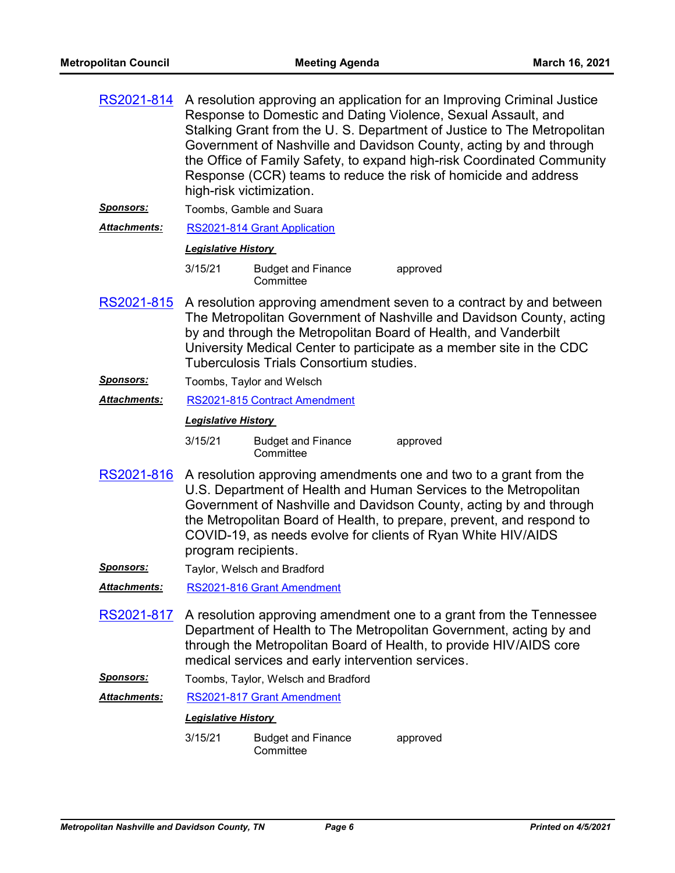| RS2021-814          |                            | high-risk victimization.                          | A resolution approving an application for an Improving Criminal Justice<br>Response to Domestic and Dating Violence, Sexual Assault, and<br>Stalking Grant from the U. S. Department of Justice to The Metropolitan<br>Government of Nashville and Davidson County, acting by and through<br>the Office of Family Safety, to expand high-risk Coordinated Community<br>Response (CCR) teams to reduce the risk of homicide and address |
|---------------------|----------------------------|---------------------------------------------------|----------------------------------------------------------------------------------------------------------------------------------------------------------------------------------------------------------------------------------------------------------------------------------------------------------------------------------------------------------------------------------------------------------------------------------------|
| <u>Sponsors:</u>    |                            | Toombs, Gamble and Suara                          |                                                                                                                                                                                                                                                                                                                                                                                                                                        |
| Attachments:        |                            | RS2021-814 Grant Application                      |                                                                                                                                                                                                                                                                                                                                                                                                                                        |
|                     | <b>Legislative History</b> |                                                   |                                                                                                                                                                                                                                                                                                                                                                                                                                        |
|                     | 3/15/21                    | <b>Budget and Finance</b><br>Committee            | approved                                                                                                                                                                                                                                                                                                                                                                                                                               |
| RS2021-815          |                            | <b>Tuberculosis Trials Consortium studies.</b>    | A resolution approving amendment seven to a contract by and between<br>The Metropolitan Government of Nashville and Davidson County, acting<br>by and through the Metropolitan Board of Health, and Vanderbilt<br>University Medical Center to participate as a member site in the CDC                                                                                                                                                 |
| <u>Sponsors:</u>    |                            | Toombs, Taylor and Welsch                         |                                                                                                                                                                                                                                                                                                                                                                                                                                        |
| Attachments:        |                            | RS2021-815 Contract Amendment                     |                                                                                                                                                                                                                                                                                                                                                                                                                                        |
|                     | <b>Legislative History</b> |                                                   |                                                                                                                                                                                                                                                                                                                                                                                                                                        |
|                     | 3/15/21                    | <b>Budget and Finance</b><br>Committee            | approved                                                                                                                                                                                                                                                                                                                                                                                                                               |
| RS2021-816          | program recipients.        |                                                   | A resolution approving amendments one and two to a grant from the<br>U.S. Department of Health and Human Services to the Metropolitan<br>Government of Nashville and Davidson County, acting by and through<br>the Metropolitan Board of Health, to prepare, prevent, and respond to<br>COVID-19, as needs evolve for clients of Ryan White HIV/AIDS                                                                                   |
| <b>Sponsors:</b>    |                            | Taylor, Welsch and Bradford                       |                                                                                                                                                                                                                                                                                                                                                                                                                                        |
| Attachments:        |                            | RS2021-816 Grant Amendment                        |                                                                                                                                                                                                                                                                                                                                                                                                                                        |
| RS2021-817          |                            | medical services and early intervention services. | A resolution approving amendment one to a grant from the Tennessee<br>Department of Health to The Metropolitan Government, acting by and<br>through the Metropolitan Board of Health, to provide HIV/AIDS core                                                                                                                                                                                                                         |
| <u>Sponsors:</u>    |                            | Toombs, Taylor, Welsch and Bradford               |                                                                                                                                                                                                                                                                                                                                                                                                                                        |
| <b>Attachments:</b> |                            | RS2021-817 Grant Amendment                        |                                                                                                                                                                                                                                                                                                                                                                                                                                        |
|                     | <b>Legislative History</b> |                                                   |                                                                                                                                                                                                                                                                                                                                                                                                                                        |
|                     | 3/15/21                    | <b>Budget and Finance</b><br>Committee            | approved                                                                                                                                                                                                                                                                                                                                                                                                                               |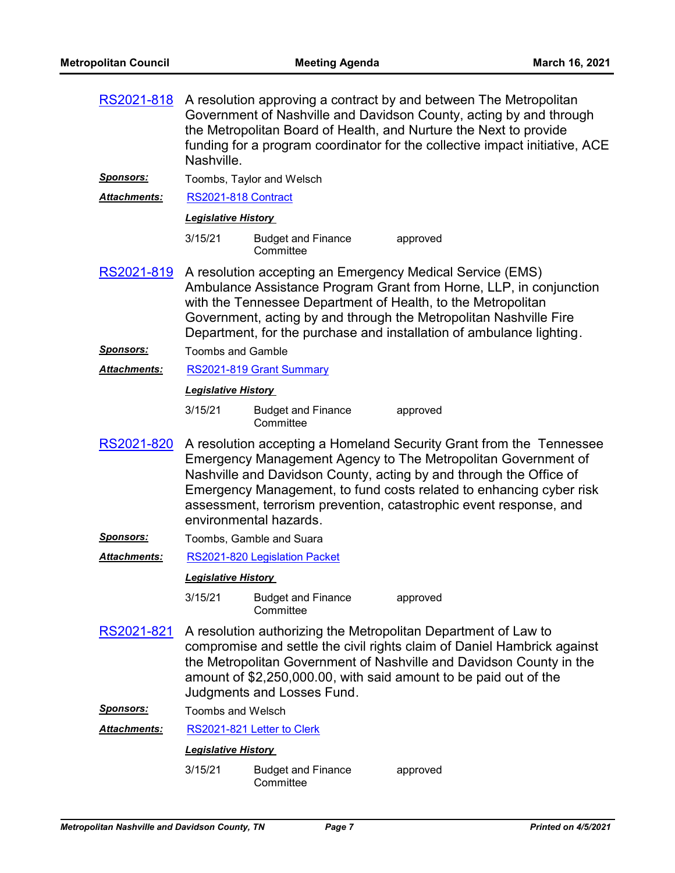| RS2021-818          | Nashville.                 |                                        | A resolution approving a contract by and between The Metropolitan<br>Government of Nashville and Davidson County, acting by and through<br>the Metropolitan Board of Health, and Nurture the Next to provide<br>funding for a program coordinator for the collective impact initiative, ACE                                                             |
|---------------------|----------------------------|----------------------------------------|---------------------------------------------------------------------------------------------------------------------------------------------------------------------------------------------------------------------------------------------------------------------------------------------------------------------------------------------------------|
| <u>Sponsors:</u>    |                            | Toombs, Taylor and Welsch              |                                                                                                                                                                                                                                                                                                                                                         |
| Attachments:        | RS2021-818 Contract        |                                        |                                                                                                                                                                                                                                                                                                                                                         |
|                     | <b>Legislative History</b> |                                        |                                                                                                                                                                                                                                                                                                                                                         |
|                     | 3/15/21                    | <b>Budget and Finance</b><br>Committee | approved                                                                                                                                                                                                                                                                                                                                                |
| <u>RS2021-819</u>   |                            |                                        | A resolution accepting an Emergency Medical Service (EMS)<br>Ambulance Assistance Program Grant from Horne, LLP, in conjunction<br>with the Tennessee Department of Health, to the Metropolitan<br>Government, acting by and through the Metropolitan Nashville Fire<br>Department, for the purchase and installation of ambulance lighting.            |
| <u>Sponsors:</u>    | <b>Toombs and Gamble</b>   |                                        |                                                                                                                                                                                                                                                                                                                                                         |
| Attachments:        |                            | RS2021-819 Grant Summary               |                                                                                                                                                                                                                                                                                                                                                         |
|                     | <b>Legislative History</b> |                                        |                                                                                                                                                                                                                                                                                                                                                         |
|                     | 3/15/21                    | <b>Budget and Finance</b><br>Committee | approved                                                                                                                                                                                                                                                                                                                                                |
| RS2021-820          |                            | environmental hazards.                 | A resolution accepting a Homeland Security Grant from the Tennessee<br>Emergency Management Agency to The Metropolitan Government of<br>Nashville and Davidson County, acting by and through the Office of<br>Emergency Management, to fund costs related to enhancing cyber risk<br>assessment, terrorism prevention, catastrophic event response, and |
| <u>Sponsors:</u>    |                            | Toombs, Gamble and Suara               |                                                                                                                                                                                                                                                                                                                                                         |
| <b>Attachments:</b> |                            | RS2021-820 Legislation Packet          |                                                                                                                                                                                                                                                                                                                                                         |
|                     | <b>Legislative History</b> |                                        |                                                                                                                                                                                                                                                                                                                                                         |
|                     | 3/15/21                    | <b>Budget and Finance</b><br>Committee | approved                                                                                                                                                                                                                                                                                                                                                |
| <u>RS2021-821</u>   |                            | Judgments and Losses Fund.             | A resolution authorizing the Metropolitan Department of Law to<br>compromise and settle the civil rights claim of Daniel Hambrick against<br>the Metropolitan Government of Nashville and Davidson County in the<br>amount of \$2,250,000.00, with said amount to be paid out of the                                                                    |
| <b>Sponsors:</b>    | Toombs and Welsch          |                                        |                                                                                                                                                                                                                                                                                                                                                         |
| <b>Attachments:</b> |                            | RS2021-821 Letter to Clerk             |                                                                                                                                                                                                                                                                                                                                                         |
|                     | <b>Legislative History</b> |                                        |                                                                                                                                                                                                                                                                                                                                                         |
|                     | 3/15/21                    | <b>Budget and Finance</b><br>Committee | approved                                                                                                                                                                                                                                                                                                                                                |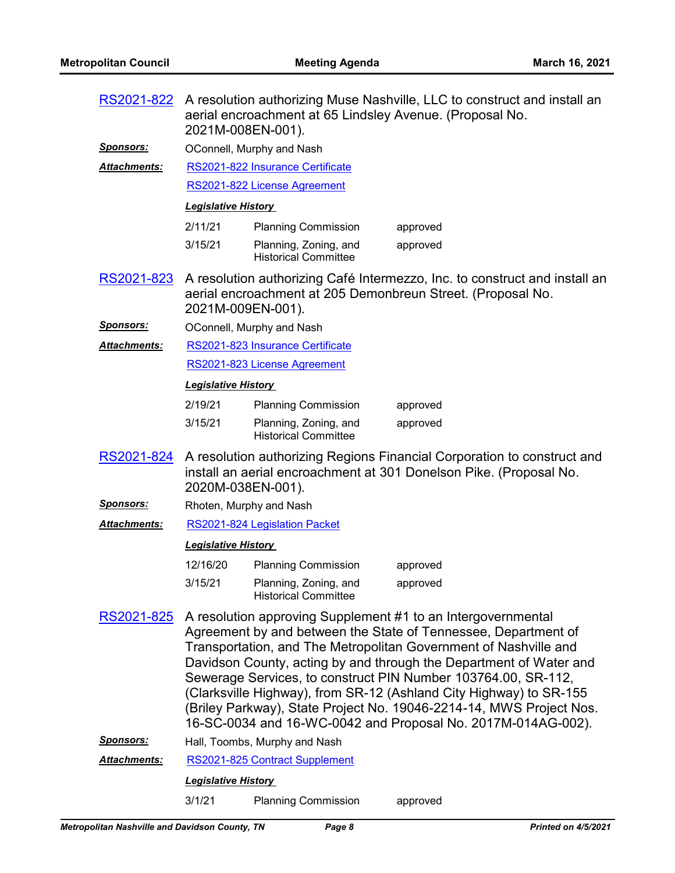| RS2021-822          | 2021M-008EN-001).          |                                                      | A resolution authorizing Muse Nashville, LLC to construct and install an<br>aerial encroachment at 65 Lindsley Avenue. (Proposal No.                                                                                                                                                                                                                                                                                                                                                                                                                   |
|---------------------|----------------------------|------------------------------------------------------|--------------------------------------------------------------------------------------------------------------------------------------------------------------------------------------------------------------------------------------------------------------------------------------------------------------------------------------------------------------------------------------------------------------------------------------------------------------------------------------------------------------------------------------------------------|
| <u>Sponsors:</u>    |                            | OConnell, Murphy and Nash                            |                                                                                                                                                                                                                                                                                                                                                                                                                                                                                                                                                        |
| Attachments:        |                            | RS2021-822 Insurance Certificate                     |                                                                                                                                                                                                                                                                                                                                                                                                                                                                                                                                                        |
|                     |                            | RS2021-822 License Agreement                         |                                                                                                                                                                                                                                                                                                                                                                                                                                                                                                                                                        |
|                     | <b>Legislative History</b> |                                                      |                                                                                                                                                                                                                                                                                                                                                                                                                                                                                                                                                        |
|                     | 2/11/21                    | <b>Planning Commission</b>                           | approved                                                                                                                                                                                                                                                                                                                                                                                                                                                                                                                                               |
|                     | 3/15/21                    | Planning, Zoning, and<br><b>Historical Committee</b> | approved                                                                                                                                                                                                                                                                                                                                                                                                                                                                                                                                               |
| RS2021-823          | 2021M-009EN-001).          |                                                      | A resolution authorizing Café Intermezzo, Inc. to construct and install an<br>aerial encroachment at 205 Demonbreun Street. (Proposal No.                                                                                                                                                                                                                                                                                                                                                                                                              |
| <u>Sponsors:</u>    |                            | OConnell, Murphy and Nash                            |                                                                                                                                                                                                                                                                                                                                                                                                                                                                                                                                                        |
| <b>Attachments:</b> |                            | RS2021-823 Insurance Certificate                     |                                                                                                                                                                                                                                                                                                                                                                                                                                                                                                                                                        |
|                     |                            | RS2021-823 License Agreement                         |                                                                                                                                                                                                                                                                                                                                                                                                                                                                                                                                                        |
|                     | <b>Legislative History</b> |                                                      |                                                                                                                                                                                                                                                                                                                                                                                                                                                                                                                                                        |
|                     | 2/19/21                    | <b>Planning Commission</b>                           | approved                                                                                                                                                                                                                                                                                                                                                                                                                                                                                                                                               |
|                     | 3/15/21                    | Planning, Zoning, and<br><b>Historical Committee</b> | approved                                                                                                                                                                                                                                                                                                                                                                                                                                                                                                                                               |
| RS2021-824          | 2020M-038EN-001).          |                                                      | A resolution authorizing Regions Financial Corporation to construct and<br>install an aerial encroachment at 301 Donelson Pike. (Proposal No.                                                                                                                                                                                                                                                                                                                                                                                                          |
|                     |                            |                                                      |                                                                                                                                                                                                                                                                                                                                                                                                                                                                                                                                                        |
| <u>Sponsors:</u>    |                            | Rhoten, Murphy and Nash                              |                                                                                                                                                                                                                                                                                                                                                                                                                                                                                                                                                        |
| <b>Attachments:</b> |                            | RS2021-824 Legislation Packet                        |                                                                                                                                                                                                                                                                                                                                                                                                                                                                                                                                                        |
|                     | <b>Legislative History</b> |                                                      |                                                                                                                                                                                                                                                                                                                                                                                                                                                                                                                                                        |
|                     | 12/16/20                   | <b>Planning Commission</b>                           | approved                                                                                                                                                                                                                                                                                                                                                                                                                                                                                                                                               |
|                     | 3/15/21                    | Planning, Zoning, and<br><b>Historical Committee</b> | approved                                                                                                                                                                                                                                                                                                                                                                                                                                                                                                                                               |
| RS2021-825          |                            |                                                      | A resolution approving Supplement #1 to an Intergovernmental<br>Agreement by and between the State of Tennessee, Department of<br>Transportation, and The Metropolitan Government of Nashville and<br>Davidson County, acting by and through the Department of Water and<br>Sewerage Services, to construct PIN Number 103764.00, SR-112,<br>(Clarksville Highway), from SR-12 (Ashland City Highway) to SR-155<br>(Briley Parkway), State Project No. 19046-2214-14, MWS Project Nos.<br>16-SC-0034 and 16-WC-0042 and Proposal No. 2017M-014AG-002). |
| <b>Sponsors:</b>    |                            | Hall, Toombs, Murphy and Nash                        |                                                                                                                                                                                                                                                                                                                                                                                                                                                                                                                                                        |
| Attachments:        |                            | RS2021-825 Contract Supplement                       |                                                                                                                                                                                                                                                                                                                                                                                                                                                                                                                                                        |
|                     | <b>Legislative History</b> |                                                      |                                                                                                                                                                                                                                                                                                                                                                                                                                                                                                                                                        |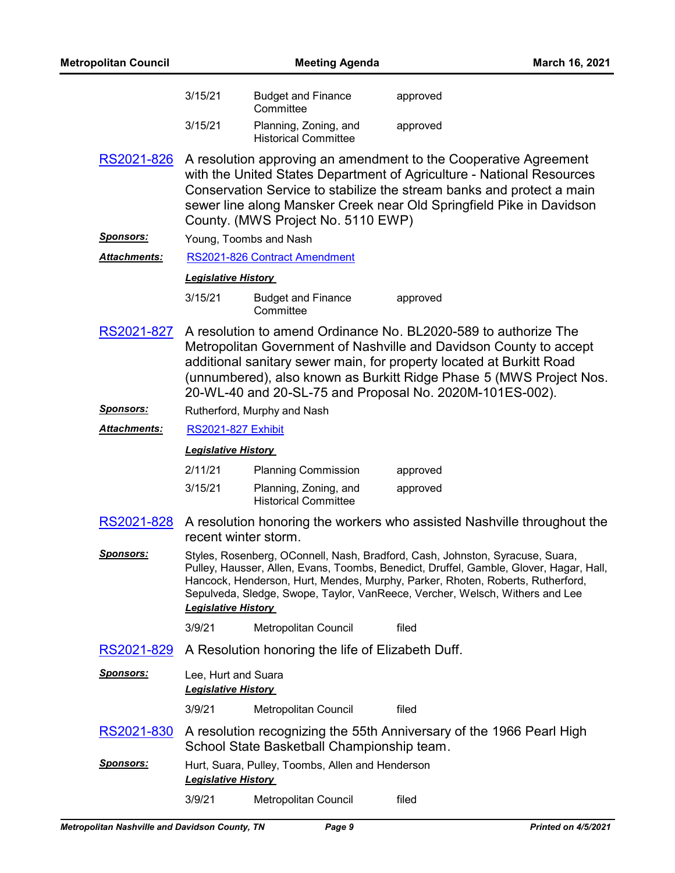| <b>Metropolitan Council</b> |                                                   | <b>Meeting Agenda</b>                                |                                                                                                                                                                                                                                                                                                                                                  | March 16, 2021 |
|-----------------------------|---------------------------------------------------|------------------------------------------------------|--------------------------------------------------------------------------------------------------------------------------------------------------------------------------------------------------------------------------------------------------------------------------------------------------------------------------------------------------|----------------|
|                             | 3/15/21                                           | <b>Budget and Finance</b><br>Committee               | approved                                                                                                                                                                                                                                                                                                                                         |                |
|                             | 3/15/21                                           | Planning, Zoning, and<br><b>Historical Committee</b> | approved                                                                                                                                                                                                                                                                                                                                         |                |
| RS2021-826                  |                                                   | County. (MWS Project No. 5110 EWP)                   | A resolution approving an amendment to the Cooperative Agreement<br>with the United States Department of Agriculture - National Resources<br>Conservation Service to stabilize the stream banks and protect a main<br>sewer line along Mansker Creek near Old Springfield Pike in Davidson                                                       |                |
| <b>Sponsors:</b>            |                                                   | Young, Toombs and Nash                               |                                                                                                                                                                                                                                                                                                                                                  |                |
| Attachments:                |                                                   | RS2021-826 Contract Amendment                        |                                                                                                                                                                                                                                                                                                                                                  |                |
|                             | <b>Legislative History</b>                        |                                                      |                                                                                                                                                                                                                                                                                                                                                  |                |
|                             | 3/15/21                                           | <b>Budget and Finance</b><br>Committee               | approved                                                                                                                                                                                                                                                                                                                                         |                |
| RS2021-827                  |                                                   |                                                      | A resolution to amend Ordinance No. BL2020-589 to authorize The<br>Metropolitan Government of Nashville and Davidson County to accept<br>additional sanitary sewer main, for property located at Burkitt Road<br>(unnumbered), also known as Burkitt Ridge Phase 5 (MWS Project Nos.<br>20-WL-40 and 20-SL-75 and Proposal No. 2020M-101ES-002). |                |
| <u>Sponsors:</u>            |                                                   | Rutherford, Murphy and Nash                          |                                                                                                                                                                                                                                                                                                                                                  |                |
| Attachments:                | <b>RS2021-827 Exhibit</b>                         |                                                      |                                                                                                                                                                                                                                                                                                                                                  |                |
|                             | <b>Legislative History</b>                        |                                                      |                                                                                                                                                                                                                                                                                                                                                  |                |
|                             | 2/11/21                                           | <b>Planning Commission</b>                           | approved                                                                                                                                                                                                                                                                                                                                         |                |
|                             | 3/15/21                                           | Planning, Zoning, and<br><b>Historical Committee</b> | approved                                                                                                                                                                                                                                                                                                                                         |                |
| RS2021-828                  | recent winter storm.                              |                                                      | A resolution honoring the workers who assisted Nashville throughout the                                                                                                                                                                                                                                                                          |                |
| <u>Sponsors:</u>            | <b>Legislative History</b>                        |                                                      | Styles, Rosenberg, OConnell, Nash, Bradford, Cash, Johnston, Syracuse, Suara,<br>Pulley, Hausser, Allen, Evans, Toombs, Benedict, Druffel, Gamble, Glover, Hagar, Hall,<br>Hancock, Henderson, Hurt, Mendes, Murphy, Parker, Rhoten, Roberts, Rutherford,<br>Sepulveda, Sledge, Swope, Taylor, VanReece, Vercher, Welsch, Withers and Lee        |                |
|                             | 3/9/21                                            | Metropolitan Council                                 | filed                                                                                                                                                                                                                                                                                                                                            |                |
| RS2021-829                  |                                                   | A Resolution honoring the life of Elizabeth Duff.    |                                                                                                                                                                                                                                                                                                                                                  |                |
| <u>Sponsors:</u>            | Lee, Hurt and Suara<br><b>Legislative History</b> |                                                      |                                                                                                                                                                                                                                                                                                                                                  |                |
|                             | 3/9/21                                            | Metropolitan Council                                 | filed                                                                                                                                                                                                                                                                                                                                            |                |
| <u>RS2021-830</u>           |                                                   | School State Basketball Championship team.           | A resolution recognizing the 55th Anniversary of the 1966 Pearl High                                                                                                                                                                                                                                                                             |                |
| <u>Sponsors:</u>            | <b>Legislative History</b>                        | Hurt, Suara, Pulley, Toombs, Allen and Henderson     |                                                                                                                                                                                                                                                                                                                                                  |                |
|                             | 3/9/21                                            | Metropolitan Council                                 | filed                                                                                                                                                                                                                                                                                                                                            |                |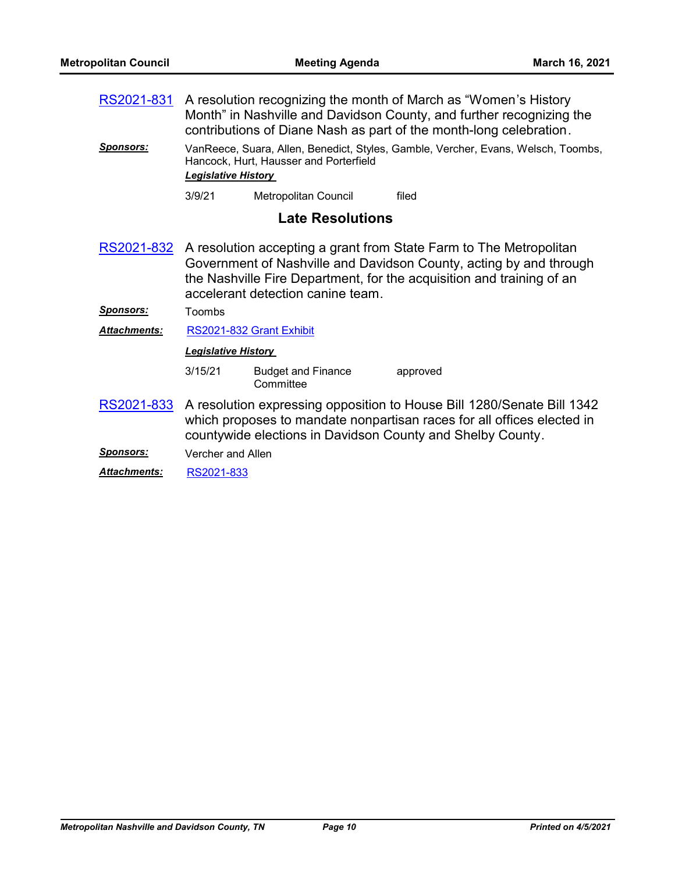A resolution recognizing the month of March as "Women's History Month" in Nashville and Davidson County, and further recognizing the contributions of Diane Nash as part of the month-long celebration. [RS2021-831](http://nashville.legistar.com/gateway.aspx?m=l&id=/matter.aspx?key=2035)

*Sponsors:* VanReece, Suara, Allen, Benedict, Styles, Gamble, Vercher, Evans, Welsch, Toombs, Hancock, Hurt, Hausser and Porterfield *Legislative History* 

3/9/21 Metropolitan Council filed

## **Late Resolutions**

A resolution accepting a grant from State Farm to The Metropolitan Government of Nashville and Davidson County, acting by and through the Nashville Fire Department, for the acquisition and training of an accelerant detection canine team. [RS2021-832](http://nashville.legistar.com/gateway.aspx?m=l&id=/matter.aspx?key=2045)

*Sponsors:* Toombs

*Attachments:* [RS2021-832 Grant Exhibit](http://nashville.legistar.com/gateway.aspx?M=F&ID=e73e03ac-65db-4678-8256-40c973228052.pdf)

*Legislative History* 

| 3/15/21 | <b>Budget and Finance</b> | approved |
|---------|---------------------------|----------|
|         | Committee                 |          |

- [RS2021-833](http://nashville.legistar.com/gateway.aspx?m=l&id=/matter.aspx?key=2043) A resolution expressing opposition to House Bill 1280/Senate Bill 1342 which proposes to mandate nonpartisan races for all offices elected in countywide elections in Davidson County and Shelby County.
- *Sponsors:* Vercher and Allen

*Attachments:* [RS2021-833](http://nashville.legistar.com/gateway.aspx?M=F&ID=88989c51-985d-493a-9c4e-1e5a19d3f07e.pdf)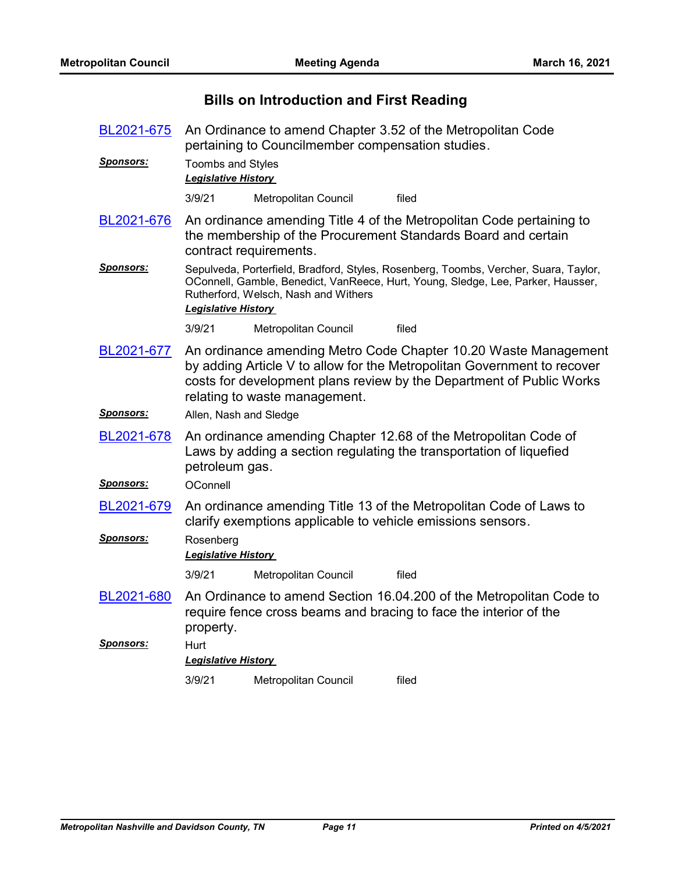# **Bills on Introduction and First Reading**

| BL2021-675        | An Ordinance to amend Chapter 3.52 of the Metropolitan Code<br>pertaining to Councilmember compensation studies. |                                      |                                                                                                                                                                                                                    |
|-------------------|------------------------------------------------------------------------------------------------------------------|--------------------------------------|--------------------------------------------------------------------------------------------------------------------------------------------------------------------------------------------------------------------|
| <u>Sponsors:</u>  | <b>Toombs and Styles</b><br><b>Legislative History</b>                                                           |                                      |                                                                                                                                                                                                                    |
|                   | 3/9/21                                                                                                           | Metropolitan Council                 | filed                                                                                                                                                                                                              |
| BL2021-676        |                                                                                                                  | contract requirements.               | An ordinance amending Title 4 of the Metropolitan Code pertaining to<br>the membership of the Procurement Standards Board and certain                                                                              |
| <u> Sponsors:</u> | <b>Legislative History</b>                                                                                       | Rutherford, Welsch, Nash and Withers | Sepulveda, Porterfield, Bradford, Styles, Rosenberg, Toombs, Vercher, Suara, Taylor,<br>OConnell, Gamble, Benedict, VanReece, Hurt, Young, Sledge, Lee, Parker, Hausser,                                           |
|                   | 3/9/21                                                                                                           | Metropolitan Council                 | filed                                                                                                                                                                                                              |
| BL2021-677        |                                                                                                                  | relating to waste management.        | An ordinance amending Metro Code Chapter 10.20 Waste Management<br>by adding Article V to allow for the Metropolitan Government to recover<br>costs for development plans review by the Department of Public Works |
| <u>Sponsors:</u>  | Allen, Nash and Sledge                                                                                           |                                      |                                                                                                                                                                                                                    |
| BL2021-678        | petroleum gas.                                                                                                   |                                      | An ordinance amending Chapter 12.68 of the Metropolitan Code of<br>Laws by adding a section regulating the transportation of liquefied                                                                             |
| <b>Sponsors:</b>  | OConnell                                                                                                         |                                      |                                                                                                                                                                                                                    |
| BL2021-679        |                                                                                                                  |                                      | An ordinance amending Title 13 of the Metropolitan Code of Laws to<br>clarify exemptions applicable to vehicle emissions sensors.                                                                                  |
| <b>Sponsors:</b>  | Rosenberg<br>Legislative History                                                                                 |                                      |                                                                                                                                                                                                                    |
|                   | 3/9/21                                                                                                           | Metropolitan Council                 | filed                                                                                                                                                                                                              |
| BL2021-680        | property.                                                                                                        |                                      | An Ordinance to amend Section 16.04.200 of the Metropolitan Code to<br>require fence cross beams and bracing to face the interior of the                                                                           |
| <b>Sponsors:</b>  | Hurt<br><b>Legislative History</b>                                                                               |                                      |                                                                                                                                                                                                                    |
|                   | 3/9/21                                                                                                           | Metropolitan Council                 | filed                                                                                                                                                                                                              |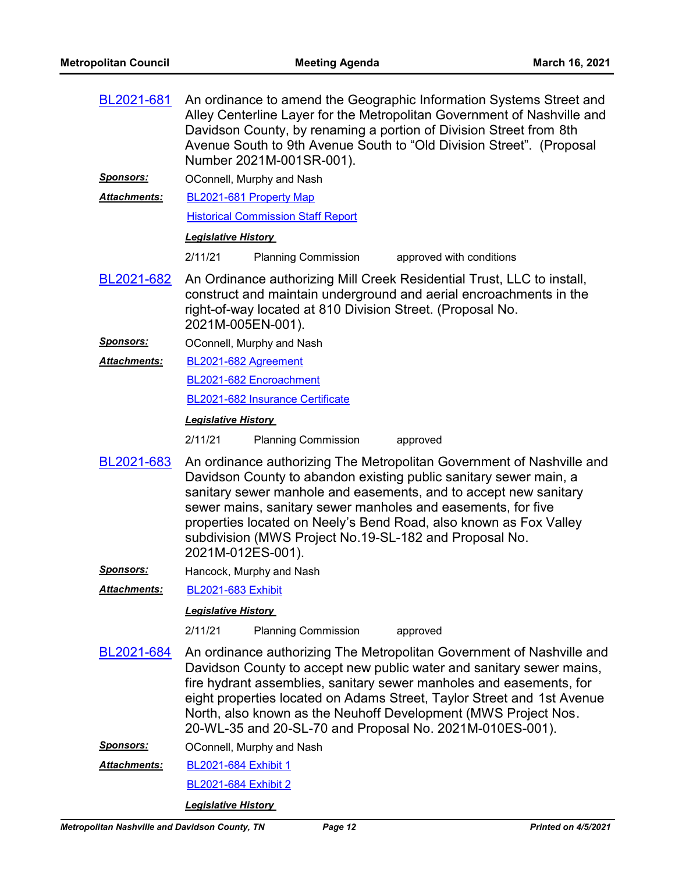| BL2021-681           | An ordinance to amend the Geographic Information Systems Street and<br>Alley Centerline Layer for the Metropolitan Government of Nashville and<br>Davidson County, by renaming a portion of Division Street from 8th<br>Avenue South to 9th Avenue South to "Old Division Street". (Proposal<br>Number 2021M-001SR-001).                                                                                                           |
|----------------------|------------------------------------------------------------------------------------------------------------------------------------------------------------------------------------------------------------------------------------------------------------------------------------------------------------------------------------------------------------------------------------------------------------------------------------|
| <u>Sponsors:</u>     | OConnell, Murphy and Nash                                                                                                                                                                                                                                                                                                                                                                                                          |
| Attachments:         | BL2021-681 Property Map                                                                                                                                                                                                                                                                                                                                                                                                            |
|                      | <b>Historical Commission Staff Report</b>                                                                                                                                                                                                                                                                                                                                                                                          |
|                      | <b>Legislative History</b>                                                                                                                                                                                                                                                                                                                                                                                                         |
|                      | 2/11/21<br><b>Planning Commission</b><br>approved with conditions                                                                                                                                                                                                                                                                                                                                                                  |
| BL2021-682           | An Ordinance authorizing Mill Creek Residential Trust, LLC to install,<br>construct and maintain underground and aerial encroachments in the<br>right-of-way located at 810 Division Street. (Proposal No.<br>2021M-005EN-001).                                                                                                                                                                                                    |
| <u>Sponsors:</u>     | OConnell, Murphy and Nash                                                                                                                                                                                                                                                                                                                                                                                                          |
| <b>Attachments:</b>  | BL2021-682 Agreement                                                                                                                                                                                                                                                                                                                                                                                                               |
|                      | BL2021-682 Encroachment                                                                                                                                                                                                                                                                                                                                                                                                            |
|                      | BL2021-682 Insurance Certificate                                                                                                                                                                                                                                                                                                                                                                                                   |
|                      | <b>Legislative History</b>                                                                                                                                                                                                                                                                                                                                                                                                         |
|                      | 2/11/21<br><b>Planning Commission</b><br>approved                                                                                                                                                                                                                                                                                                                                                                                  |
| BL2021-683           | An ordinance authorizing The Metropolitan Government of Nashville and<br>Davidson County to abandon existing public sanitary sewer main, a<br>sanitary sewer manhole and easements, and to accept new sanitary<br>sewer mains, sanitary sewer manholes and easements, for five<br>properties located on Neely's Bend Road, also known as Fox Valley<br>subdivision (MWS Project No.19-SL-182 and Proposal No.<br>2021M-012ES-001). |
| <b>Sponsors:</b>     | Hancock, Murphy and Nash                                                                                                                                                                                                                                                                                                                                                                                                           |
| Attachments:         | <b>BL2021-683 Exhibit</b>                                                                                                                                                                                                                                                                                                                                                                                                          |
|                      | <b>Legislative History</b>                                                                                                                                                                                                                                                                                                                                                                                                         |
|                      | 2/11/21<br><b>Planning Commission</b><br>approved                                                                                                                                                                                                                                                                                                                                                                                  |
| BL2021-684           | An ordinance authorizing The Metropolitan Government of Nashville and<br>Davidson County to accept new public water and sanitary sewer mains,<br>fire hydrant assemblies, sanitary sewer manholes and easements, for<br>eight properties located on Adams Street, Taylor Street and 1st Avenue<br>North, also known as the Neuhoff Development (MWS Project Nos.<br>20-WL-35 and 20-SL-70 and Proposal No. 2021M-010ES-001).       |
| <u>Sponsors:</u>     | OConnell, Murphy and Nash                                                                                                                                                                                                                                                                                                                                                                                                          |
| <u> Attachments:</u> | BL2021-684 Exhibit 1                                                                                                                                                                                                                                                                                                                                                                                                               |
|                      | <b>BL2021-684 Exhibit 2</b>                                                                                                                                                                                                                                                                                                                                                                                                        |
|                      | <b>Legislative History</b>                                                                                                                                                                                                                                                                                                                                                                                                         |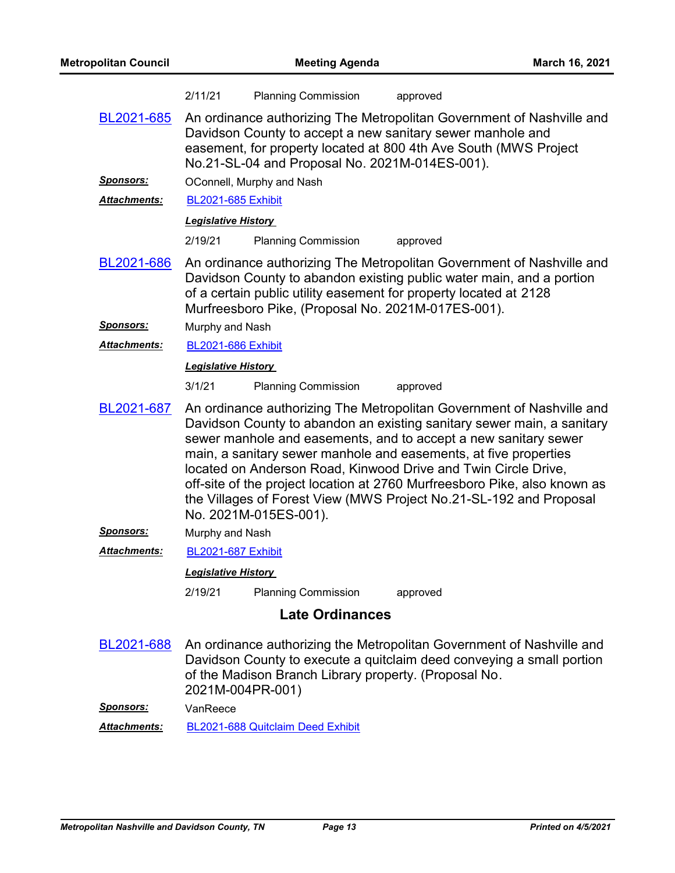|                      | 2/11/21                                                                                                                                                                                                                                                                                                                                                                                                                                                                                                                              | <b>Planning Commission</b>                            | approved                                                                                                                                                                                                           |
|----------------------|--------------------------------------------------------------------------------------------------------------------------------------------------------------------------------------------------------------------------------------------------------------------------------------------------------------------------------------------------------------------------------------------------------------------------------------------------------------------------------------------------------------------------------------|-------------------------------------------------------|--------------------------------------------------------------------------------------------------------------------------------------------------------------------------------------------------------------------|
| BL2021-685           | An ordinance authorizing The Metropolitan Government of Nashville and<br>Davidson County to accept a new sanitary sewer manhole and<br>easement, for property located at 800 4th Ave South (MWS Project<br>No.21-SL-04 and Proposal No. 2021M-014ES-001).                                                                                                                                                                                                                                                                            |                                                       |                                                                                                                                                                                                                    |
| <u>Sponsors:</u>     | OConnell, Murphy and Nash                                                                                                                                                                                                                                                                                                                                                                                                                                                                                                            |                                                       |                                                                                                                                                                                                                    |
| <b>Attachments:</b>  | <b>BL2021-685 Exhibit</b>                                                                                                                                                                                                                                                                                                                                                                                                                                                                                                            |                                                       |                                                                                                                                                                                                                    |
|                      | <b>Legislative History</b>                                                                                                                                                                                                                                                                                                                                                                                                                                                                                                           |                                                       |                                                                                                                                                                                                                    |
|                      | 2/19/21                                                                                                                                                                                                                                                                                                                                                                                                                                                                                                                              | <b>Planning Commission</b>                            | approved                                                                                                                                                                                                           |
| BL2021-686           |                                                                                                                                                                                                                                                                                                                                                                                                                                                                                                                                      | Murfreesboro Pike, (Proposal No. 2021M-017ES-001).    | An ordinance authorizing The Metropolitan Government of Nashville and<br>Davidson County to abandon existing public water main, and a portion<br>of a certain public utility easement for property located at 2128 |
| <u>Sponsors:</u>     | Murphy and Nash                                                                                                                                                                                                                                                                                                                                                                                                                                                                                                                      |                                                       |                                                                                                                                                                                                                    |
| <u> Attachments:</u> | <b>BL2021-686 Exhibit</b>                                                                                                                                                                                                                                                                                                                                                                                                                                                                                                            |                                                       |                                                                                                                                                                                                                    |
|                      | <b>Legislative History</b>                                                                                                                                                                                                                                                                                                                                                                                                                                                                                                           |                                                       |                                                                                                                                                                                                                    |
|                      | 3/1/21                                                                                                                                                                                                                                                                                                                                                                                                                                                                                                                               | <b>Planning Commission</b>                            | approved                                                                                                                                                                                                           |
| BL2021-687           | An ordinance authorizing The Metropolitan Government of Nashville and<br>Davidson County to abandon an existing sanitary sewer main, a sanitary<br>sewer manhole and easements, and to accept a new sanitary sewer<br>main, a sanitary sewer manhole and easements, at five properties<br>located on Anderson Road, Kinwood Drive and Twin Circle Drive,<br>off-site of the project location at 2760 Murfreesboro Pike, also known as<br>the Villages of Forest View (MWS Project No.21-SL-192 and Proposal<br>No. 2021M-015ES-001). |                                                       |                                                                                                                                                                                                                    |
| <b>Sponsors:</b>     | Murphy and Nash                                                                                                                                                                                                                                                                                                                                                                                                                                                                                                                      |                                                       |                                                                                                                                                                                                                    |
| <b>Attachments:</b>  | <b>BL2021-687 Exhibit</b>                                                                                                                                                                                                                                                                                                                                                                                                                                                                                                            |                                                       |                                                                                                                                                                                                                    |
|                      | <b>Legislative History</b>                                                                                                                                                                                                                                                                                                                                                                                                                                                                                                           |                                                       |                                                                                                                                                                                                                    |
|                      | 2/19/21                                                                                                                                                                                                                                                                                                                                                                                                                                                                                                                              | <b>Planning Commission</b>                            | approved                                                                                                                                                                                                           |
|                      |                                                                                                                                                                                                                                                                                                                                                                                                                                                                                                                                      | <b>Late Ordinances</b>                                |                                                                                                                                                                                                                    |
| BL2021-688           | 2021M-004PR-001)                                                                                                                                                                                                                                                                                                                                                                                                                                                                                                                     | of the Madison Branch Library property. (Proposal No. | An ordinance authorizing the Metropolitan Government of Nashville and<br>Davidson County to execute a quitclaim deed conveying a small portion                                                                     |
| <u>Sponsors:</u>     | VanReece                                                                                                                                                                                                                                                                                                                                                                                                                                                                                                                             |                                                       |                                                                                                                                                                                                                    |
| <b>Attachments:</b>  |                                                                                                                                                                                                                                                                                                                                                                                                                                                                                                                                      | BL2021-688 Quitclaim Deed Exhibit                     |                                                                                                                                                                                                                    |
|                      |                                                                                                                                                                                                                                                                                                                                                                                                                                                                                                                                      |                                                       |                                                                                                                                                                                                                    |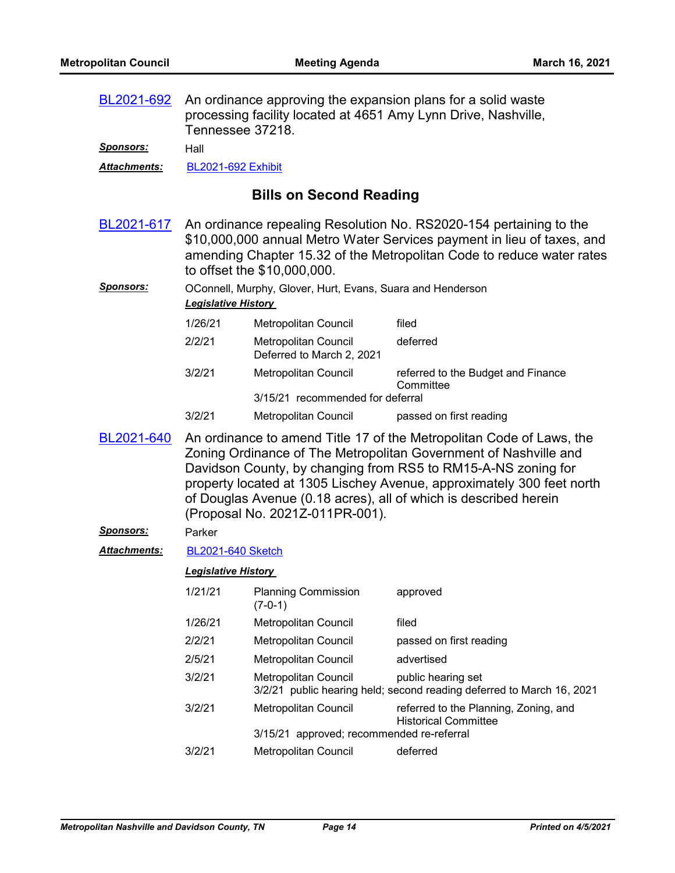| BL2021-692<br><u>Sponsors:</u> | An ordinance approving the expansion plans for a solid waste<br>processing facility located at 4651 Amy Lynn Drive, Nashville,<br>Tennessee 37218.<br>Hall                                                                                                                                                                                                                                |                                                                   |                                                                                             |
|--------------------------------|-------------------------------------------------------------------------------------------------------------------------------------------------------------------------------------------------------------------------------------------------------------------------------------------------------------------------------------------------------------------------------------------|-------------------------------------------------------------------|---------------------------------------------------------------------------------------------|
| <b>Attachments:</b>            | <b>BL2021-692 Exhibit</b>                                                                                                                                                                                                                                                                                                                                                                 |                                                                   |                                                                                             |
|                                |                                                                                                                                                                                                                                                                                                                                                                                           |                                                                   |                                                                                             |
|                                |                                                                                                                                                                                                                                                                                                                                                                                           | <b>Bills on Second Reading</b>                                    |                                                                                             |
| BL2021-617                     | An ordinance repealing Resolution No. RS2020-154 pertaining to the<br>\$10,000,000 annual Metro Water Services payment in lieu of taxes, and<br>amending Chapter 15.32 of the Metropolitan Code to reduce water rates<br>to offset the \$10,000,000.                                                                                                                                      |                                                                   |                                                                                             |
| <b>Sponsors:</b>               | <b>Legislative History</b>                                                                                                                                                                                                                                                                                                                                                                | OConnell, Murphy, Glover, Hurt, Evans, Suara and Henderson        |                                                                                             |
|                                | 1/26/21                                                                                                                                                                                                                                                                                                                                                                                   | Metropolitan Council                                              | filed                                                                                       |
|                                | 2/2/21                                                                                                                                                                                                                                                                                                                                                                                    | Metropolitan Council<br>Deferred to March 2, 2021                 | deferred                                                                                    |
|                                | 3/2/21                                                                                                                                                                                                                                                                                                                                                                                    | Metropolitan Council                                              | referred to the Budget and Finance                                                          |
|                                |                                                                                                                                                                                                                                                                                                                                                                                           | 3/15/21 recommended for deferral                                  | Committee                                                                                   |
|                                | 3/2/21                                                                                                                                                                                                                                                                                                                                                                                    | Metropolitan Council                                              | passed on first reading                                                                     |
| BL2021-640                     | An ordinance to amend Title 17 of the Metropolitan Code of Laws, the<br>Zoning Ordinance of The Metropolitan Government of Nashville and<br>Davidson County, by changing from RS5 to RM15-A-NS zoning for<br>property located at 1305 Lischey Avenue, approximately 300 feet north<br>of Douglas Avenue (0.18 acres), all of which is described herein<br>(Proposal No. 2021Z-011PR-001). |                                                                   |                                                                                             |
| <u>Sponsors:</u>               | Parker                                                                                                                                                                                                                                                                                                                                                                                    |                                                                   |                                                                                             |
| <b>Attachments:</b>            | <b>BL2021-640 Sketch</b>                                                                                                                                                                                                                                                                                                                                                                  |                                                                   |                                                                                             |
|                                | <b>Legislative History</b>                                                                                                                                                                                                                                                                                                                                                                |                                                                   |                                                                                             |
|                                | 1/21/21                                                                                                                                                                                                                                                                                                                                                                                   | <b>Planning Commission</b><br>$(7-0-1)$                           | approved                                                                                    |
|                                | 1/26/21                                                                                                                                                                                                                                                                                                                                                                                   | Metropolitan Council                                              | filed                                                                                       |
|                                | 2/2/21                                                                                                                                                                                                                                                                                                                                                                                    | Metropolitan Council                                              | passed on first reading                                                                     |
|                                | 2/5/21                                                                                                                                                                                                                                                                                                                                                                                    | Metropolitan Council                                              | advertised                                                                                  |
|                                | 3/2/21                                                                                                                                                                                                                                                                                                                                                                                    | Metropolitan Council                                              | public hearing set<br>3/2/21 public hearing held; second reading deferred to March 16, 2021 |
|                                | 3/2/21                                                                                                                                                                                                                                                                                                                                                                                    | Metropolitan Council<br>3/15/21 approved; recommended re-referral | referred to the Planning, Zoning, and<br><b>Historical Committee</b>                        |
|                                | 3/2/21                                                                                                                                                                                                                                                                                                                                                                                    | Metropolitan Council                                              | deferred                                                                                    |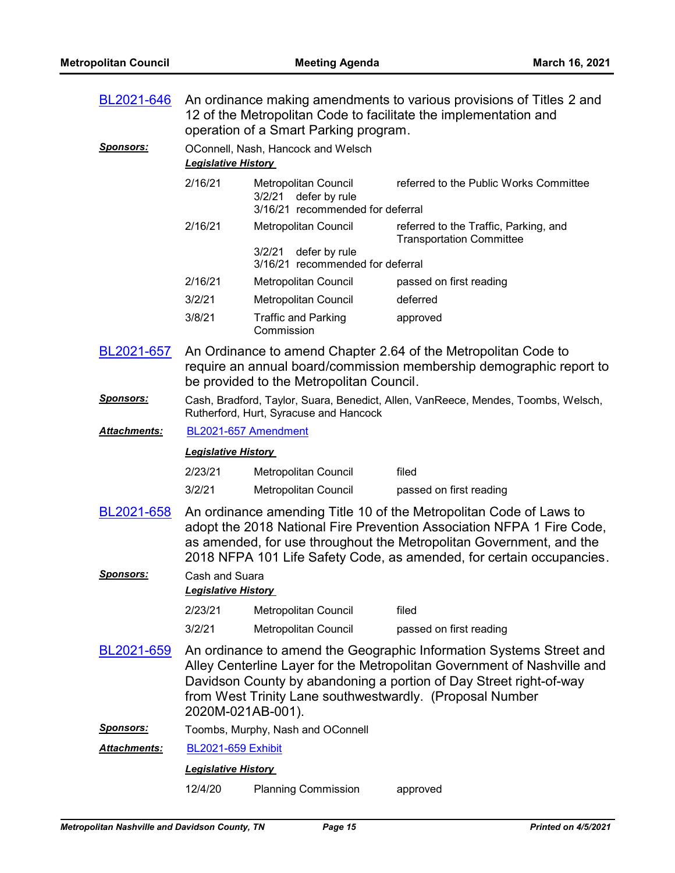| BL2021-646           | An ordinance making amendments to various provisions of Titles 2 and<br>12 of the Metropolitan Code to facilitate the implementation and<br>operation of a Smart Parking program. |                                                                                     |                                                                                                                                                                                                                                                                                            |
|----------------------|-----------------------------------------------------------------------------------------------------------------------------------------------------------------------------------|-------------------------------------------------------------------------------------|--------------------------------------------------------------------------------------------------------------------------------------------------------------------------------------------------------------------------------------------------------------------------------------------|
| <b>Sponsors:</b>     | <b>Legislative History</b>                                                                                                                                                        | OConnell, Nash, Hancock and Welsch                                                  |                                                                                                                                                                                                                                                                                            |
|                      | 2/16/21                                                                                                                                                                           | Metropolitan Council<br>defer by rule<br>3/2/21<br>3/16/21 recommended for deferral | referred to the Public Works Committee                                                                                                                                                                                                                                                     |
|                      | 2/16/21                                                                                                                                                                           | <b>Metropolitan Council</b>                                                         | referred to the Traffic, Parking, and<br><b>Transportation Committee</b>                                                                                                                                                                                                                   |
|                      |                                                                                                                                                                                   | defer by rule<br>3/2/21<br>3/16/21 recommended for deferral                         |                                                                                                                                                                                                                                                                                            |
|                      | 2/16/21                                                                                                                                                                           | Metropolitan Council                                                                | passed on first reading                                                                                                                                                                                                                                                                    |
|                      | 3/2/21                                                                                                                                                                            | Metropolitan Council                                                                | deferred                                                                                                                                                                                                                                                                                   |
|                      | 3/8/21                                                                                                                                                                            | <b>Traffic and Parking</b><br>Commission                                            | approved                                                                                                                                                                                                                                                                                   |
| BL2021-657           | An Ordinance to amend Chapter 2.64 of the Metropolitan Code to<br>require an annual board/commission membership demographic report to<br>be provided to the Metropolitan Council. |                                                                                     |                                                                                                                                                                                                                                                                                            |
| <b>Sponsors:</b>     | Cash, Bradford, Taylor, Suara, Benedict, Allen, VanReece, Mendes, Toombs, Welsch,<br>Rutherford, Hurt, Syracuse and Hancock                                                       |                                                                                     |                                                                                                                                                                                                                                                                                            |
| Attachments:         | BL2021-657 Amendment                                                                                                                                                              |                                                                                     |                                                                                                                                                                                                                                                                                            |
|                      | <b>Legislative History</b>                                                                                                                                                        |                                                                                     |                                                                                                                                                                                                                                                                                            |
|                      | 2/23/21                                                                                                                                                                           | Metropolitan Council                                                                | filed                                                                                                                                                                                                                                                                                      |
|                      | 3/2/21                                                                                                                                                                            | <b>Metropolitan Council</b>                                                         | passed on first reading                                                                                                                                                                                                                                                                    |
| BL2021-658           |                                                                                                                                                                                   |                                                                                     | An ordinance amending Title 10 of the Metropolitan Code of Laws to<br>adopt the 2018 National Fire Prevention Association NFPA 1 Fire Code,<br>as amended, for use throughout the Metropolitan Government, and the<br>2018 NFPA 101 Life Safety Code, as amended, for certain occupancies. |
| <b>Sponsors:</b>     | Cash and Suara<br><b>Legislative History</b>                                                                                                                                      |                                                                                     |                                                                                                                                                                                                                                                                                            |
|                      |                                                                                                                                                                                   |                                                                                     |                                                                                                                                                                                                                                                                                            |
|                      | 2/23/21                                                                                                                                                                           | Metropolitan Council                                                                | filed                                                                                                                                                                                                                                                                                      |
|                      | 3/2/21                                                                                                                                                                            | Metropolitan Council                                                                | passed on first reading                                                                                                                                                                                                                                                                    |
| BL2021-659           |                                                                                                                                                                                   | 2020M-021AB-001).                                                                   | An ordinance to amend the Geographic Information Systems Street and<br>Alley Centerline Layer for the Metropolitan Government of Nashville and<br>Davidson County by abandoning a portion of Day Street right-of-way<br>from West Trinity Lane southwestwardly. (Proposal Number           |
| <u>Sponsors:</u>     |                                                                                                                                                                                   | Toombs, Murphy, Nash and OConnell                                                   |                                                                                                                                                                                                                                                                                            |
| <u> Attachments:</u> | <b>BL2021-659 Exhibit</b>                                                                                                                                                         |                                                                                     |                                                                                                                                                                                                                                                                                            |
|                      | <b>Legislative History</b>                                                                                                                                                        |                                                                                     |                                                                                                                                                                                                                                                                                            |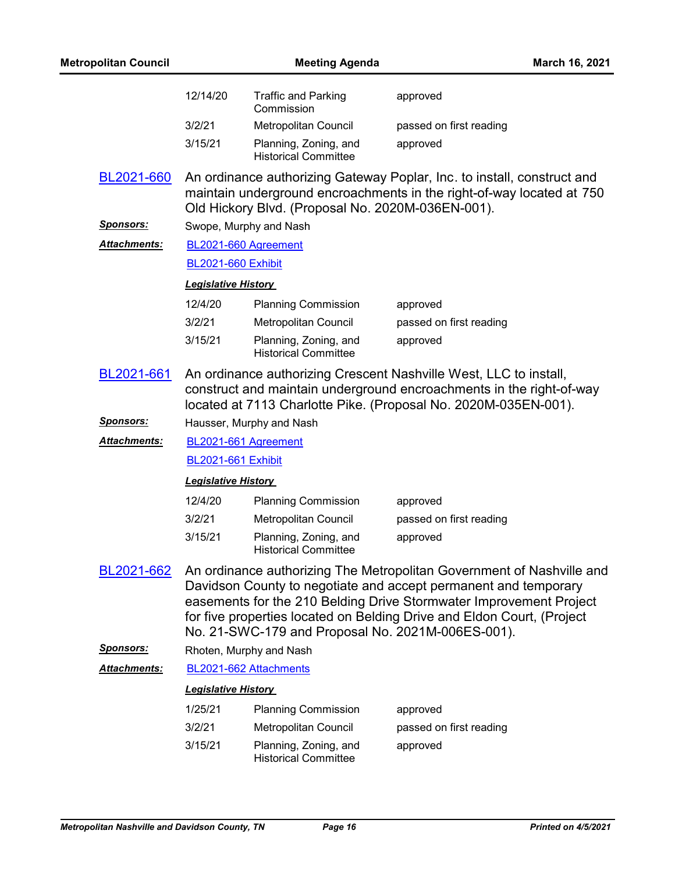| <b>Metropolitan Council</b> |                            | <b>Meeting Agenda</b>                                | March 16, 2021                                                                                                                                                                                                                                                                                                                                |
|-----------------------------|----------------------------|------------------------------------------------------|-----------------------------------------------------------------------------------------------------------------------------------------------------------------------------------------------------------------------------------------------------------------------------------------------------------------------------------------------|
|                             | 12/14/20                   | <b>Traffic and Parking</b><br>Commission             | approved                                                                                                                                                                                                                                                                                                                                      |
|                             | 3/2/21                     | Metropolitan Council                                 | passed on first reading                                                                                                                                                                                                                                                                                                                       |
|                             | 3/15/21                    | Planning, Zoning, and<br><b>Historical Committee</b> | approved                                                                                                                                                                                                                                                                                                                                      |
| BL2021-660                  |                            | Old Hickory Blvd. (Proposal No. 2020M-036EN-001).    | An ordinance authorizing Gateway Poplar, Inc. to install, construct and<br>maintain underground encroachments in the right-of-way located at 750                                                                                                                                                                                              |
| <u>Sponsors:</u>            |                            | Swope, Murphy and Nash                               |                                                                                                                                                                                                                                                                                                                                               |
| <b>Attachments:</b>         |                            | BL2021-660 Agreement                                 |                                                                                                                                                                                                                                                                                                                                               |
|                             | <b>BL2021-660 Exhibit</b>  |                                                      |                                                                                                                                                                                                                                                                                                                                               |
|                             | <b>Legislative History</b> |                                                      |                                                                                                                                                                                                                                                                                                                                               |
|                             | 12/4/20                    | <b>Planning Commission</b>                           | approved                                                                                                                                                                                                                                                                                                                                      |
|                             | 3/2/21                     | Metropolitan Council                                 | passed on first reading                                                                                                                                                                                                                                                                                                                       |
|                             | 3/15/21                    | Planning, Zoning, and<br><b>Historical Committee</b> | approved                                                                                                                                                                                                                                                                                                                                      |
| BL2021-661                  |                            |                                                      | An ordinance authorizing Crescent Nashville West, LLC to install,<br>construct and maintain underground encroachments in the right-of-way<br>located at 7113 Charlotte Pike. (Proposal No. 2020M-035EN-001).                                                                                                                                  |
| <u>Sponsors:</u>            |                            | Hausser, Murphy and Nash                             |                                                                                                                                                                                                                                                                                                                                               |
| <b>Attachments:</b>         |                            | BL2021-661 Agreement                                 |                                                                                                                                                                                                                                                                                                                                               |
|                             | <b>BL2021-661 Exhibit</b>  |                                                      |                                                                                                                                                                                                                                                                                                                                               |
|                             | <b>Legislative History</b> |                                                      |                                                                                                                                                                                                                                                                                                                                               |
|                             | 12/4/20                    | <b>Planning Commission</b>                           | approved                                                                                                                                                                                                                                                                                                                                      |
|                             | 3/2/21                     | Metropolitan Council                                 | passed on first reading                                                                                                                                                                                                                                                                                                                       |
|                             | 3/15/21                    | Planning, Zoning, and<br><b>Historical Committee</b> | approved                                                                                                                                                                                                                                                                                                                                      |
| BL2021-662                  |                            |                                                      | An ordinance authorizing The Metropolitan Government of Nashville and<br>Davidson County to negotiate and accept permanent and temporary<br>easements for the 210 Belding Drive Stormwater Improvement Project<br>for five properties located on Belding Drive and Eldon Court, (Project<br>No. 21-SWC-179 and Proposal No. 2021M-006ES-001). |
| <b>Sponsors:</b>            |                            | Rhoten, Murphy and Nash                              |                                                                                                                                                                                                                                                                                                                                               |
| Attachments:                |                            | BL2021-662 Attachments                               |                                                                                                                                                                                                                                                                                                                                               |
|                             | <b>Legislative History</b> |                                                      |                                                                                                                                                                                                                                                                                                                                               |
|                             | 1/25/21                    | <b>Planning Commission</b>                           | approved                                                                                                                                                                                                                                                                                                                                      |
|                             | 3/2/21                     | Metropolitan Council                                 | passed on first reading                                                                                                                                                                                                                                                                                                                       |
|                             | 3/15/21                    | Planning, Zoning, and<br><b>Historical Committee</b> | approved                                                                                                                                                                                                                                                                                                                                      |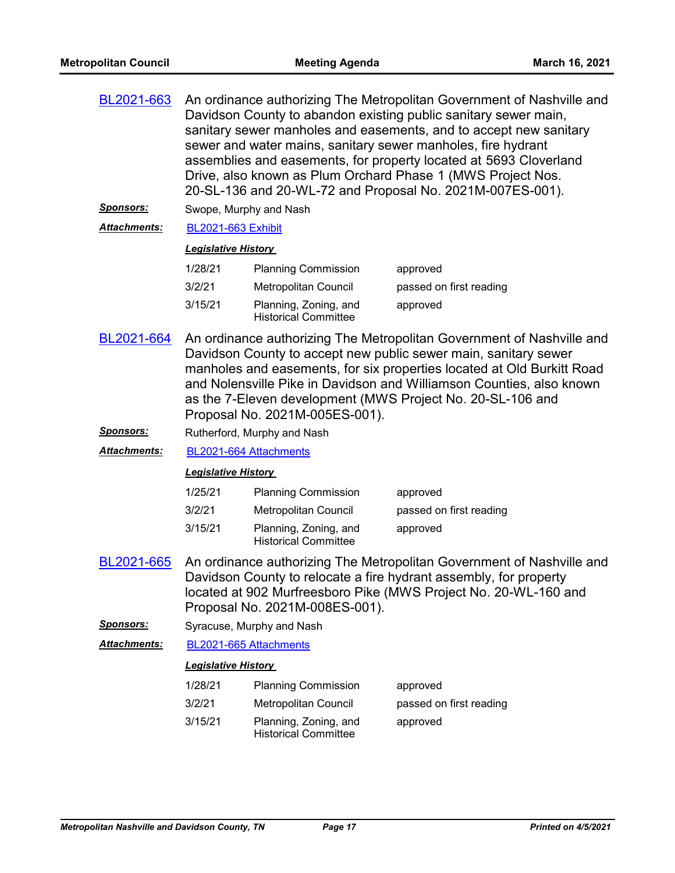| BL2021-663<br><u>Sponsors:</u><br><b>Attachments:</b> | An ordinance authorizing The Metropolitan Government of Nashville and<br>Davidson County to abandon existing public sanitary sewer main,<br>sanitary sewer manholes and easements, and to accept new sanitary<br>sewer and water mains, sanitary sewer manholes, fire hydrant<br>assemblies and easements, for property located at 5693 Cloverland<br>Drive, also known as Plum Orchard Phase 1 (MWS Project Nos.<br>20-SL-136 and 20-WL-72 and Proposal No. 2021M-007ES-001).<br>Swope, Murphy and Nash<br><b>BL2021-663 Exhibit</b> |                                                      |                         |
|-------------------------------------------------------|---------------------------------------------------------------------------------------------------------------------------------------------------------------------------------------------------------------------------------------------------------------------------------------------------------------------------------------------------------------------------------------------------------------------------------------------------------------------------------------------------------------------------------------|------------------------------------------------------|-------------------------|
|                                                       | <b>Legislative History</b>                                                                                                                                                                                                                                                                                                                                                                                                                                                                                                            |                                                      |                         |
|                                                       | 1/28/21                                                                                                                                                                                                                                                                                                                                                                                                                                                                                                                               | <b>Planning Commission</b>                           | approved                |
|                                                       | 3/2/21                                                                                                                                                                                                                                                                                                                                                                                                                                                                                                                                | Metropolitan Council                                 | passed on first reading |
|                                                       | 3/15/21                                                                                                                                                                                                                                                                                                                                                                                                                                                                                                                               | Planning, Zoning, and<br><b>Historical Committee</b> | approved                |
| BL2021-664                                            | An ordinance authorizing The Metropolitan Government of Nashville and<br>Davidson County to accept new public sewer main, sanitary sewer<br>manholes and easements, for six properties located at Old Burkitt Road<br>and Nolensville Pike in Davidson and Williamson Counties, also known<br>as the 7-Eleven development (MWS Project No. 20-SL-106 and<br>Proposal No. 2021M-005ES-001).                                                                                                                                            |                                                      |                         |
| <u>Sponsors:</u>                                      | Rutherford, Murphy and Nash                                                                                                                                                                                                                                                                                                                                                                                                                                                                                                           |                                                      |                         |
| Attachments:                                          | BL2021-664 Attachments                                                                                                                                                                                                                                                                                                                                                                                                                                                                                                                |                                                      |                         |
|                                                       | <b>Legislative History</b>                                                                                                                                                                                                                                                                                                                                                                                                                                                                                                            |                                                      |                         |
|                                                       | 1/25/21                                                                                                                                                                                                                                                                                                                                                                                                                                                                                                                               | <b>Planning Commission</b>                           | approved                |
|                                                       | 3/2/21                                                                                                                                                                                                                                                                                                                                                                                                                                                                                                                                | Metropolitan Council                                 | passed on first reading |
|                                                       | 3/15/21                                                                                                                                                                                                                                                                                                                                                                                                                                                                                                                               | Planning, Zoning, and<br><b>Historical Committee</b> | approved                |
| BL2021-665                                            | An ordinance authorizing The Metropolitan Government of Nashville and<br>Davidson County to relocate a fire hydrant assembly, for property<br>located at 902 Murfreesboro Pike (MWS Project No. 20-WL-160 and<br>Proposal No. 2021M-008ES-001).                                                                                                                                                                                                                                                                                       |                                                      |                         |
| <u>Sponsors:</u>                                      |                                                                                                                                                                                                                                                                                                                                                                                                                                                                                                                                       | Syracuse, Murphy and Nash                            |                         |
| <u> Attachments:</u>                                  |                                                                                                                                                                                                                                                                                                                                                                                                                                                                                                                                       | BL2021-665 Attachments                               |                         |
|                                                       | <b>Legislative History</b>                                                                                                                                                                                                                                                                                                                                                                                                                                                                                                            |                                                      |                         |
|                                                       | 1/28/21                                                                                                                                                                                                                                                                                                                                                                                                                                                                                                                               | <b>Planning Commission</b>                           | approved                |
|                                                       | 3/2/21                                                                                                                                                                                                                                                                                                                                                                                                                                                                                                                                | Metropolitan Council                                 | passed on first reading |
|                                                       | 3/15/21                                                                                                                                                                                                                                                                                                                                                                                                                                                                                                                               | Planning, Zoning, and<br><b>Historical Committee</b> | approved                |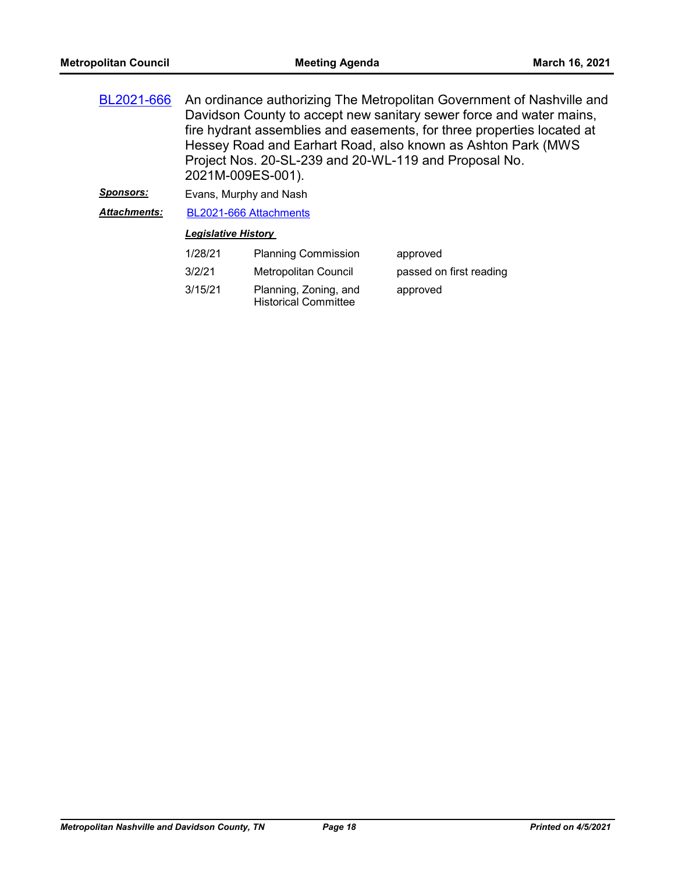| BL2021-666          | An ordinance authorizing The Metropolitan Government of Nashville and<br>Davidson County to accept new sanitary sewer force and water mains,<br>fire hydrant assemblies and easements, for three properties located at<br>Hessey Road and Earhart Road, also known as Ashton Park (MWS<br>Project Nos. 20-SL-239 and 20-WL-119 and Proposal No.<br>2021M-009ES-001). |                                                      |                         |
|---------------------|----------------------------------------------------------------------------------------------------------------------------------------------------------------------------------------------------------------------------------------------------------------------------------------------------------------------------------------------------------------------|------------------------------------------------------|-------------------------|
| <b>Sponsors:</b>    |                                                                                                                                                                                                                                                                                                                                                                      | Evans, Murphy and Nash                               |                         |
| <b>Attachments:</b> | BL2021-666 Attachments                                                                                                                                                                                                                                                                                                                                               |                                                      |                         |
|                     | <b>Legislative History</b>                                                                                                                                                                                                                                                                                                                                           |                                                      |                         |
|                     | 1/28/21                                                                                                                                                                                                                                                                                                                                                              | <b>Planning Commission</b>                           | approved                |
|                     | 3/2/21                                                                                                                                                                                                                                                                                                                                                               | <b>Metropolitan Council</b>                          | passed on first reading |
|                     | 3/15/21                                                                                                                                                                                                                                                                                                                                                              | Planning, Zoning, and<br><b>Historical Committee</b> | approved                |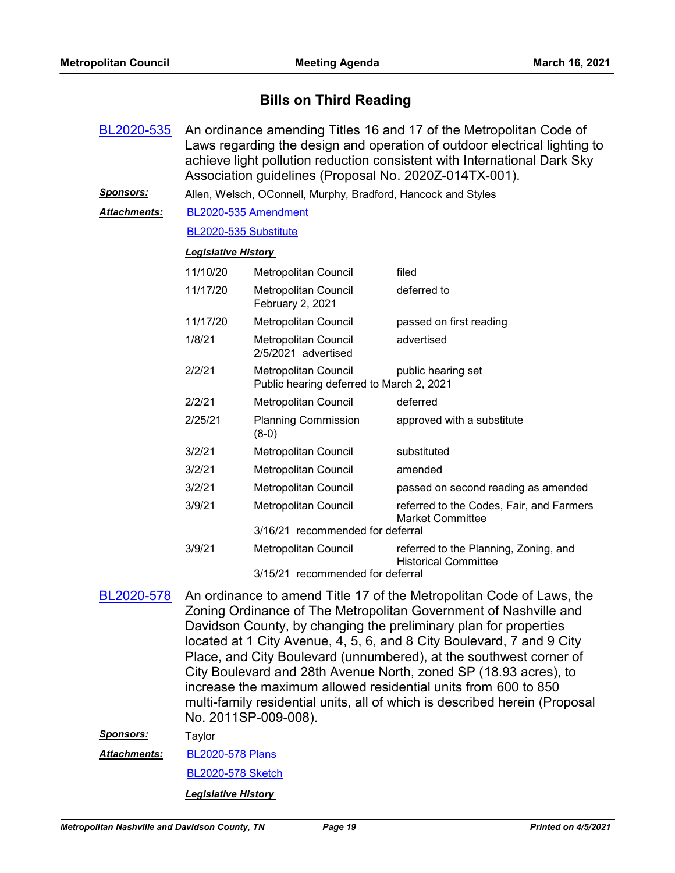## **Bills on Third Reading**

| BL2020-535           | An ordinance amending Titles 16 and 17 of the Metropolitan Code of<br>Laws regarding the design and operation of outdoor electrical lighting to<br>achieve light pollution reduction consistent with International Dark Sky<br>Association guidelines (Proposal No. 2020Z-014TX-001). |                                                                         |                                                                      |  |  |
|----------------------|---------------------------------------------------------------------------------------------------------------------------------------------------------------------------------------------------------------------------------------------------------------------------------------|-------------------------------------------------------------------------|----------------------------------------------------------------------|--|--|
| Sponsors:            | Allen, Welsch, OConnell, Murphy, Bradford, Hancock and Styles                                                                                                                                                                                                                         |                                                                         |                                                                      |  |  |
| <u> Attachments:</u> |                                                                                                                                                                                                                                                                                       | BL2020-535 Amendment                                                    |                                                                      |  |  |
|                      | BL2020-535 Substitute                                                                                                                                                                                                                                                                 |                                                                         |                                                                      |  |  |
|                      | <b>Legislative History</b>                                                                                                                                                                                                                                                            |                                                                         |                                                                      |  |  |
|                      | 11/10/20                                                                                                                                                                                                                                                                              | <b>Metropolitan Council</b>                                             | filed                                                                |  |  |
|                      | 11/17/20                                                                                                                                                                                                                                                                              | Metropolitan Council<br>February 2, 2021                                | deferred to                                                          |  |  |
|                      | 11/17/20                                                                                                                                                                                                                                                                              | <b>Metropolitan Council</b>                                             | passed on first reading                                              |  |  |
|                      | 1/8/21                                                                                                                                                                                                                                                                                | Metropolitan Council<br>2/5/2021 advertised                             | advertised                                                           |  |  |
|                      | 2/2/21                                                                                                                                                                                                                                                                                | <b>Metropolitan Council</b><br>Public hearing deferred to March 2, 2021 | public hearing set                                                   |  |  |
|                      | 2/2/21                                                                                                                                                                                                                                                                                | Metropolitan Council                                                    | deferred                                                             |  |  |
|                      | 2/25/21                                                                                                                                                                                                                                                                               | <b>Planning Commission</b><br>$(8-0)$                                   | approved with a substitute                                           |  |  |
|                      | 3/2/21                                                                                                                                                                                                                                                                                | <b>Metropolitan Council</b>                                             | substituted                                                          |  |  |
|                      | 3/2/21                                                                                                                                                                                                                                                                                | Metropolitan Council                                                    | amended                                                              |  |  |
|                      | 3/2/21                                                                                                                                                                                                                                                                                | Metropolitan Council                                                    | passed on second reading as amended                                  |  |  |
|                      | 3/9/21                                                                                                                                                                                                                                                                                | Metropolitan Council                                                    | referred to the Codes, Fair, and Farmers<br><b>Market Committee</b>  |  |  |
|                      |                                                                                                                                                                                                                                                                                       | 3/16/21 recommended for deferral                                        |                                                                      |  |  |
|                      | 3/9/21                                                                                                                                                                                                                                                                                | Metropolitan Council                                                    | referred to the Planning, Zoning, and<br><b>Historical Committee</b> |  |  |
|                      | 3/15/21 recommended for deferral                                                                                                                                                                                                                                                      |                                                                         |                                                                      |  |  |

3/15/21 recommended for deferral

An ordinance to amend Title 17 of the Metropolitan Code of Laws, the Zoning Ordinance of The Metropolitan Government of Nashville and Davidson County, by changing the preliminary plan for properties located at 1 City Avenue, 4, 5, 6, and 8 City Boulevard, 7 and 9 City Place, and City Boulevard (unnumbered), at the southwest corner of City Boulevard and 28th Avenue North, zoned SP (18.93 acres), to increase the maximum allowed residential units from 600 to 850 multi-family residential units, all of which is described herein (Proposal No. 2011SP-009-008). [BL2020-578](http://nashville.legistar.com/gateway.aspx?m=l&id=/matter.aspx?key=1678)

*Sponsors:* Taylor

[BL2020-578 Plans](http://nashville.legistar.com/gateway.aspx?M=F&ID=4130a52a-68d0-4aa3-91c9-575b0efb5bfc.pdf) *Attachments:*

[BL2020-578 Sketch](http://nashville.legistar.com/gateway.aspx?M=F&ID=ad52735e-8657-4ffa-a774-dc7a74ec68a3.docx)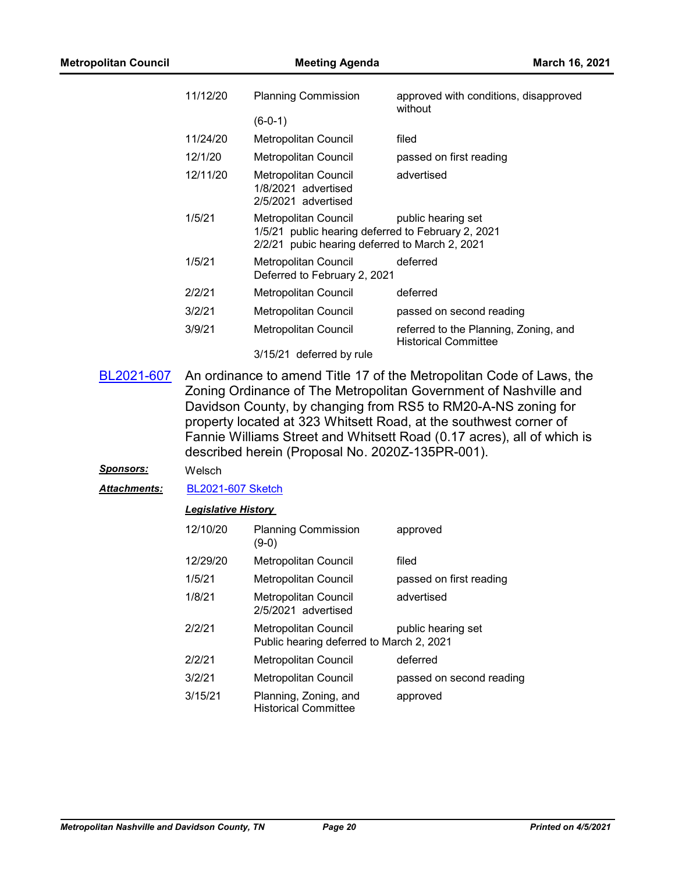| 11/12/20 | <b>Planning Commission</b>                                                                                                   | approved with conditions, disapproved<br>without                     |  |
|----------|------------------------------------------------------------------------------------------------------------------------------|----------------------------------------------------------------------|--|
|          | $(6-0-1)$                                                                                                                    |                                                                      |  |
| 11/24/20 | <b>Metropolitan Council</b>                                                                                                  | filed                                                                |  |
| 12/1/20  | Metropolitan Council                                                                                                         | passed on first reading                                              |  |
| 12/11/20 | Metropolitan Council<br>1/8/2021 advertised<br>2/5/2021 advertised                                                           | advertised                                                           |  |
| 1/5/21   | Metropolitan Council<br>1/5/21 public hearing deferred to February 2, 2021<br>2/2/21 pubic hearing deferred to March 2, 2021 | public hearing set                                                   |  |
| 1/5/21   | <b>Metropolitan Council</b><br>Deferred to February 2, 2021                                                                  | deferred                                                             |  |
| 2/2/21   | Metropolitan Council                                                                                                         | deferred                                                             |  |
| 3/2/21   | Metropolitan Council                                                                                                         | passed on second reading                                             |  |
| 3/9/21   | <b>Metropolitan Council</b>                                                                                                  | referred to the Planning, Zoning, and<br><b>Historical Committee</b> |  |
|          | 3/15/21 deferred by rule                                                                                                     |                                                                      |  |

An ordinance to amend Title 17 of the Metropolitan Code of Laws, the Zoning Ordinance of The Metropolitan Government of Nashville and Davidson County, by changing from RS5 to RM20-A-NS zoning for property located at 323 Whitsett Road, at the southwest corner of Fannie Williams Street and Whitsett Road (0.17 acres), all of which is described herein (Proposal No. 2020Z-135PR-001). [BL2021-607](http://nashville.legistar.com/gateway.aspx?m=l&id=/matter.aspx?key=1763)

*Sponsors:* Welsch

*Attachments:* [BL2021-607 Sketch](http://nashville.legistar.com/gateway.aspx?M=F&ID=81e5890a-0d34-4ae9-be54-2a30a9f9e2c3.docx)

| 12/10/20 | <b>Planning Commission</b><br>(9-0)                              | approved                 |
|----------|------------------------------------------------------------------|--------------------------|
| 12/29/20 | Metropolitan Council                                             | filed                    |
| 1/5/21   | Metropolitan Council                                             | passed on first reading  |
| 1/8/21   | Metropolitan Council<br>2/5/2021 advertised                      | advertised               |
| 2/2/21   | Metropolitan Council<br>Public hearing deferred to March 2, 2021 | public hearing set       |
| 2/2/21   | <b>Metropolitan Council</b>                                      | deferred                 |
| 3/2/21   | Metropolitan Council                                             | passed on second reading |
| 3/15/21  | Planning, Zoning, and<br><b>Historical Committee</b>             | approved                 |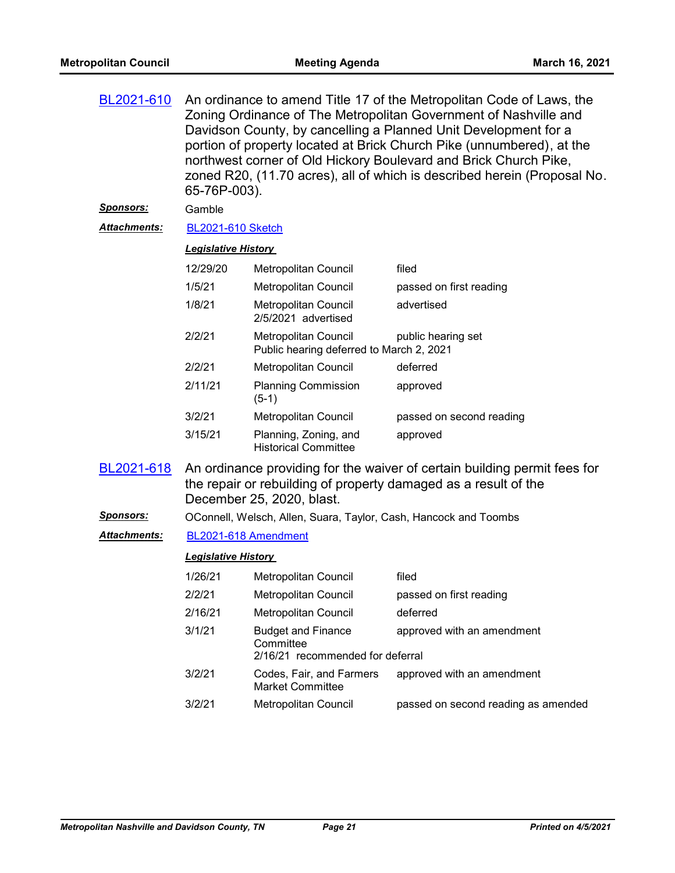| BL2021-610          | An ordinance to amend Title 17 of the Metropolitan Code of Laws, the<br>Zoning Ordinance of The Metropolitan Government of Nashville and<br>Davidson County, by cancelling a Planned Unit Development for a<br>portion of property located at Brick Church Pike (unnumbered), at the<br>northwest corner of Old Hickory Boulevard and Brick Church Pike,<br>zoned R20, (11.70 acres), all of which is described herein (Proposal No.<br>65-76P-003). |                                                                            |                                                                                                                                              |
|---------------------|------------------------------------------------------------------------------------------------------------------------------------------------------------------------------------------------------------------------------------------------------------------------------------------------------------------------------------------------------------------------------------------------------------------------------------------------------|----------------------------------------------------------------------------|----------------------------------------------------------------------------------------------------------------------------------------------|
| <u>Sponsors:</u>    | Gamble                                                                                                                                                                                                                                                                                                                                                                                                                                               |                                                                            |                                                                                                                                              |
| <b>Attachments:</b> | <b>BL2021-610 Sketch</b>                                                                                                                                                                                                                                                                                                                                                                                                                             |                                                                            |                                                                                                                                              |
|                     | <b>Legislative History</b>                                                                                                                                                                                                                                                                                                                                                                                                                           |                                                                            |                                                                                                                                              |
|                     | 12/29/20                                                                                                                                                                                                                                                                                                                                                                                                                                             | Metropolitan Council                                                       | filed                                                                                                                                        |
|                     | 1/5/21                                                                                                                                                                                                                                                                                                                                                                                                                                               | Metropolitan Council                                                       | passed on first reading                                                                                                                      |
|                     | 1/8/21                                                                                                                                                                                                                                                                                                                                                                                                                                               | Metropolitan Council<br>2/5/2021 advertised                                | advertised                                                                                                                                   |
|                     | 2/2/21                                                                                                                                                                                                                                                                                                                                                                                                                                               | <b>Metropolitan Council</b><br>Public hearing deferred to March 2, 2021    | public hearing set                                                                                                                           |
|                     | 2/2/21                                                                                                                                                                                                                                                                                                                                                                                                                                               | <b>Metropolitan Council</b>                                                | deferred                                                                                                                                     |
|                     | 2/11/21                                                                                                                                                                                                                                                                                                                                                                                                                                              | <b>Planning Commission</b><br>$(5-1)$                                      | approved                                                                                                                                     |
|                     | 3/2/21                                                                                                                                                                                                                                                                                                                                                                                                                                               | Metropolitan Council                                                       | passed on second reading                                                                                                                     |
|                     | 3/15/21                                                                                                                                                                                                                                                                                                                                                                                                                                              | Planning, Zoning, and<br><b>Historical Committee</b>                       | approved                                                                                                                                     |
| BL2021-618          |                                                                                                                                                                                                                                                                                                                                                                                                                                                      | December 25, 2020, blast.                                                  | An ordinance providing for the waiver of certain building permit fees for<br>the repair or rebuilding of property damaged as a result of the |
| <u>Sponsors:</u>    |                                                                                                                                                                                                                                                                                                                                                                                                                                                      | OConnell, Welsch, Allen, Suara, Taylor, Cash, Hancock and Toombs           |                                                                                                                                              |
| <b>Attachments:</b> |                                                                                                                                                                                                                                                                                                                                                                                                                                                      | BL2021-618 Amendment                                                       |                                                                                                                                              |
|                     | <b>Legislative History</b>                                                                                                                                                                                                                                                                                                                                                                                                                           |                                                                            |                                                                                                                                              |
|                     | 1/26/21                                                                                                                                                                                                                                                                                                                                                                                                                                              | Metropolitan Council                                                       | filed                                                                                                                                        |
|                     | 2/2/21                                                                                                                                                                                                                                                                                                                                                                                                                                               | Metropolitan Council                                                       | passed on first reading                                                                                                                      |
|                     | 2/16/21                                                                                                                                                                                                                                                                                                                                                                                                                                              | Metropolitan Council                                                       | deferred                                                                                                                                     |
|                     | 3/1/21                                                                                                                                                                                                                                                                                                                                                                                                                                               | <b>Budget and Finance</b><br>Committee<br>2/16/21 recommended for deferral | approved with an amendment                                                                                                                   |
|                     | 3/2/21                                                                                                                                                                                                                                                                                                                                                                                                                                               | Codes, Fair, and Farmers<br><b>Market Committee</b>                        | approved with an amendment                                                                                                                   |
|                     | 3/2/21                                                                                                                                                                                                                                                                                                                                                                                                                                               | Metropolitan Council                                                       | passed on second reading as amended                                                                                                          |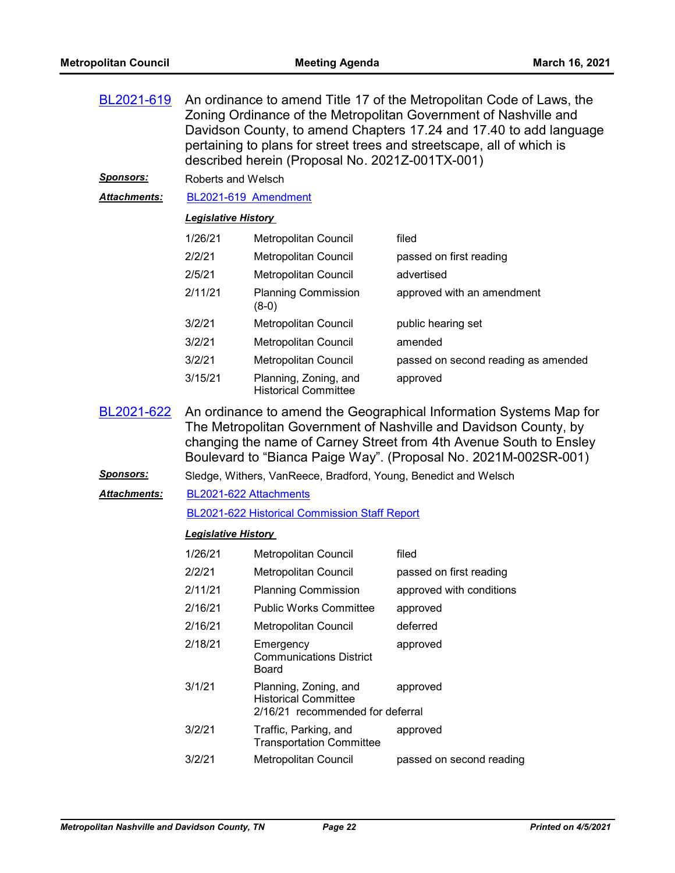| BL2021-619       | An ordinance to amend Title 17 of the Metropolitan Code of Laws, the<br>Zoning Ordinance of the Metropolitan Government of Nashville and<br>Davidson County, to amend Chapters 17.24 and 17.40 to add language<br>pertaining to plans for street trees and streetscape, all of which is<br>described herein (Proposal No. 2021Z-001TX-001) |                                                      |                                     |
|------------------|--------------------------------------------------------------------------------------------------------------------------------------------------------------------------------------------------------------------------------------------------------------------------------------------------------------------------------------------|------------------------------------------------------|-------------------------------------|
| <u>Sponsors:</u> | Roberts and Welsch                                                                                                                                                                                                                                                                                                                         |                                                      |                                     |
| Attachments:     |                                                                                                                                                                                                                                                                                                                                            | BL2021-619 Amendment                                 |                                     |
|                  | <b>Legislative History</b>                                                                                                                                                                                                                                                                                                                 |                                                      |                                     |
|                  | 1/26/21                                                                                                                                                                                                                                                                                                                                    | <b>Metropolitan Council</b>                          | filed                               |
|                  | 2/2/21                                                                                                                                                                                                                                                                                                                                     | Metropolitan Council                                 | passed on first reading             |
|                  | 2/5/21                                                                                                                                                                                                                                                                                                                                     | Metropolitan Council                                 | advertised                          |
|                  | 2/11/21                                                                                                                                                                                                                                                                                                                                    | <b>Planning Commission</b><br>$(8-0)$                | approved with an amendment          |
|                  | 3/2/21                                                                                                                                                                                                                                                                                                                                     | Metropolitan Council                                 | public hearing set                  |
|                  | 3/2/21                                                                                                                                                                                                                                                                                                                                     | Metropolitan Council                                 | amended                             |
|                  | 3/2/21                                                                                                                                                                                                                                                                                                                                     | <b>Metropolitan Council</b>                          | passed on second reading as amended |
|                  | 3/15/21                                                                                                                                                                                                                                                                                                                                    | Planning, Zoning, and<br><b>Historical Committee</b> | approved                            |
| BL2021-622       | An ordinance to amend the Geographical Information Systems Map for<br>The Metropolitan Government of Nashville and Davidson County, by<br>changing the name of Carney Street from 4th Avenue South to Ensley                                                                                                                               |                                                      |                                     |

changing the name of Carney Street from 4th Avenue South to Ensley Boulevard to "Bianca Paige Way". (Proposal No. 2021M-002SR-001)

*Sponsors:* Sledge, Withers, VanReece, Bradford, Young, Benedict and Welsch

#### [BL2021-622 Attachments](http://nashville.legistar.com/gateway.aspx?M=F&ID=2e76a420-ffd0-455b-927f-248bd2caf696.pdf) *Attachments:*

[BL2021-622 Historical Commission Staff Report](http://nashville.legistar.com/gateway.aspx?M=F&ID=4d949595-76b5-403f-b7ac-84adaf9c293e.pdf)

| 1/26/21 | <b>Metropolitan Council</b>                                                              | filed                    |
|---------|------------------------------------------------------------------------------------------|--------------------------|
| 2/2/21  | <b>Metropolitan Council</b>                                                              | passed on first reading  |
| 2/11/21 | <b>Planning Commission</b>                                                               | approved with conditions |
| 2/16/21 | <b>Public Works Committee</b>                                                            | approved                 |
| 2/16/21 | Metropolitan Council                                                                     | deferred                 |
| 2/18/21 | Emergency<br><b>Communications District</b><br>Board                                     | approved                 |
| 3/1/21  | Planning, Zoning, and<br><b>Historical Committee</b><br>2/16/21 recommended for deferral | approved                 |
| 3/2/21  | Traffic, Parking, and<br><b>Transportation Committee</b>                                 | approved                 |
| 3/2/21  | Metropolitan Council                                                                     | passed on second reading |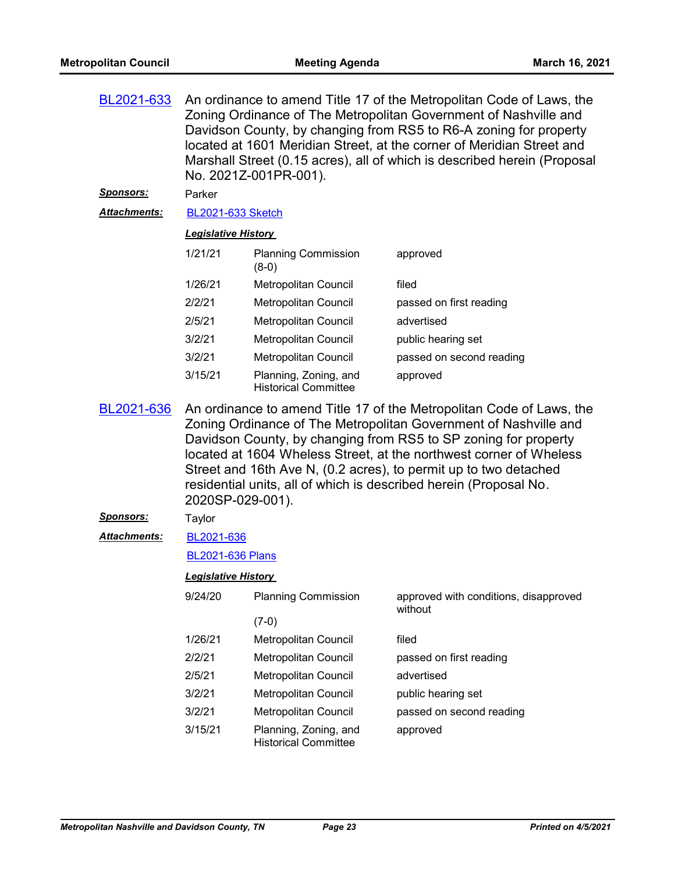| An ordinance to amend Title 17 of the Metropolitan Code of Laws, the     |
|--------------------------------------------------------------------------|
| Zoning Ordinance of The Metropolitan Government of Nashville and         |
| Davidson County, by changing from RS5 to R6-A zoning for property        |
| located at 1601 Meridian Street, at the corner of Meridian Street and    |
| Marshall Street (0.15 acres), all of which is described herein (Proposal |
|                                                                          |
|                                                                          |

#### *Sponsors:* Parker

*Attachments:* [BL2021-633 Sketch](http://nashville.legistar.com/gateway.aspx?M=F&ID=fbf94525-1d05-4f53-a838-2e12aa99d8ad.docx)

#### *Legislative History*

| 1/21/21 | <b>Planning Commission</b><br>$(8-0)$                | approved                 |
|---------|------------------------------------------------------|--------------------------|
| 1/26/21 | <b>Metropolitan Council</b>                          | filed                    |
| 2/2/21  | <b>Metropolitan Council</b>                          | passed on first reading  |
| 2/5/21  | Metropolitan Council                                 | advertised               |
| 3/2/21  | <b>Metropolitan Council</b>                          | public hearing set       |
| 3/2/21  | <b>Metropolitan Council</b>                          | passed on second reading |
| 3/15/21 | Planning, Zoning, and<br><b>Historical Committee</b> | approved                 |

An ordinance to amend Title 17 of the Metropolitan Code of Laws, the Zoning Ordinance of The Metropolitan Government of Nashville and Davidson County, by changing from RS5 to SP zoning for property located at 1604 Wheless Street, at the northwest corner of Wheless Street and 16th Ave N, (0.2 acres), to permit up to two detached residential units, all of which is described herein (Proposal No. 2020SP-029-001). [BL2021-636](http://nashville.legistar.com/gateway.aspx?m=l&id=/matter.aspx?key=1565)

### *Sponsors:* Taylor

[BL2021-636](http://nashville.legistar.com/gateway.aspx?M=F&ID=1efb1e72-1d57-4459-9209-5acba43f89bd.docx) *Attachments:*

#### [BL2021-636 Plans](http://nashville.legistar.com/gateway.aspx?M=F&ID=47a2c7d8-9b64-4c2b-bf06-234aedce1239.pdf)

| 9/24/20 | <b>Planning Commission</b>                           | approved with conditions, disapproved<br>without |  |
|---------|------------------------------------------------------|--------------------------------------------------|--|
|         | $(7-0)$                                              |                                                  |  |
| 1/26/21 | Metropolitan Council                                 | filed                                            |  |
| 2/2/21  | Metropolitan Council                                 | passed on first reading                          |  |
| 2/5/21  | Metropolitan Council                                 | advertised                                       |  |
| 3/2/21  | Metropolitan Council                                 | public hearing set                               |  |
| 3/2/21  | Metropolitan Council                                 | passed on second reading                         |  |
| 3/15/21 | Planning, Zoning, and<br><b>Historical Committee</b> | approved                                         |  |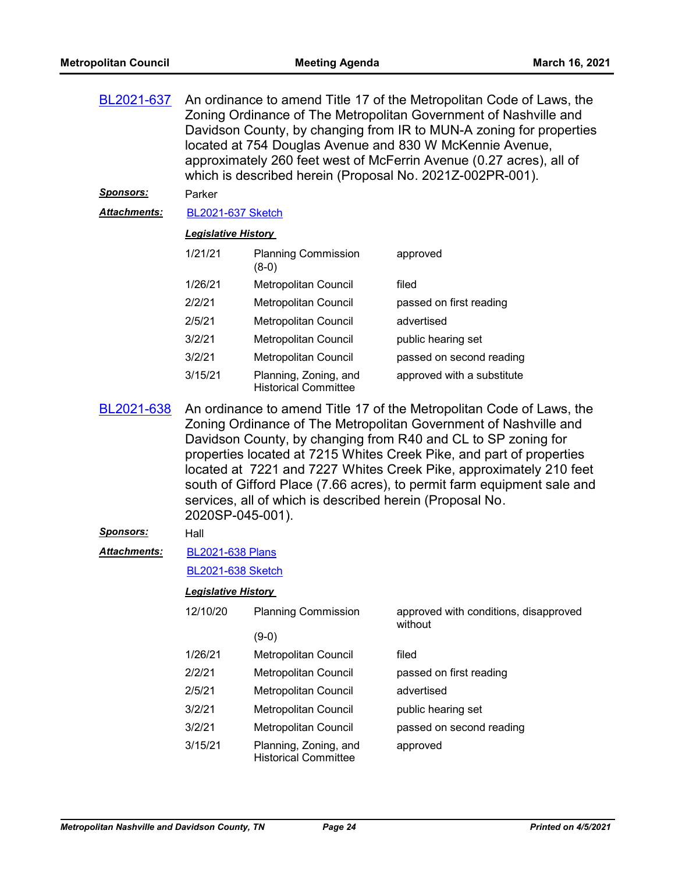| BL2021-637          | An ordinance to amend Title 17 of the Metropolitan Code of Laws, the<br>Zoning Ordinance of The Metropolitan Government of Nashville and<br>Davidson County, by changing from IR to MUN-A zoning for properties<br>located at 754 Douglas Avenue and 830 W McKennie Avenue,<br>approximately 260 feet west of McFerrin Avenue (0.27 acres), all of<br>which is described herein (Proposal No. 2021Z-002PR-001).                                                                                                   |                                                      |                                       |  |
|---------------------|-------------------------------------------------------------------------------------------------------------------------------------------------------------------------------------------------------------------------------------------------------------------------------------------------------------------------------------------------------------------------------------------------------------------------------------------------------------------------------------------------------------------|------------------------------------------------------|---------------------------------------|--|
| <u>Sponsors:</u>    | Parker                                                                                                                                                                                                                                                                                                                                                                                                                                                                                                            |                                                      |                                       |  |
| <b>Attachments:</b> | <b>BL2021-637 Sketch</b>                                                                                                                                                                                                                                                                                                                                                                                                                                                                                          |                                                      |                                       |  |
|                     | <b>Legislative History</b>                                                                                                                                                                                                                                                                                                                                                                                                                                                                                        |                                                      |                                       |  |
|                     | 1/21/21                                                                                                                                                                                                                                                                                                                                                                                                                                                                                                           | <b>Planning Commission</b><br>$(8-0)$                | approved                              |  |
|                     | 1/26/21                                                                                                                                                                                                                                                                                                                                                                                                                                                                                                           | Metropolitan Council                                 | filed                                 |  |
|                     | 2/2/21                                                                                                                                                                                                                                                                                                                                                                                                                                                                                                            | Metropolitan Council                                 | passed on first reading               |  |
|                     | 2/5/21                                                                                                                                                                                                                                                                                                                                                                                                                                                                                                            | Metropolitan Council                                 | advertised                            |  |
|                     | 3/2/21                                                                                                                                                                                                                                                                                                                                                                                                                                                                                                            | Metropolitan Council                                 | public hearing set                    |  |
|                     | 3/2/21                                                                                                                                                                                                                                                                                                                                                                                                                                                                                                            | <b>Metropolitan Council</b>                          | passed on second reading              |  |
|                     | 3/15/21                                                                                                                                                                                                                                                                                                                                                                                                                                                                                                           | Planning, Zoning, and<br><b>Historical Committee</b> | approved with a substitute            |  |
| BL2021-638          | An ordinance to amend Title 17 of the Metropolitan Code of Laws, the<br>Zoning Ordinance of The Metropolitan Government of Nashville and<br>Davidson County, by changing from R40 and CL to SP zoning for<br>properties located at 7215 Whites Creek Pike, and part of properties<br>located at 7221 and 7227 Whites Creek Pike, approximately 210 feet<br>south of Gifford Place (7.66 acres), to permit farm equipment sale and<br>services, all of which is described herein (Proposal No.<br>2020SP-045-001). |                                                      |                                       |  |
| <u>Sponsors:</u>    | Hall                                                                                                                                                                                                                                                                                                                                                                                                                                                                                                              |                                                      |                                       |  |
| <b>Attachments:</b> | <b>BL2021-638 Plans</b>                                                                                                                                                                                                                                                                                                                                                                                                                                                                                           |                                                      |                                       |  |
|                     | <b>BL2021-638 Sketch</b>                                                                                                                                                                                                                                                                                                                                                                                                                                                                                          |                                                      |                                       |  |
|                     | <b>Legislative History</b>                                                                                                                                                                                                                                                                                                                                                                                                                                                                                        |                                                      |                                       |  |
|                     | 12/10/20                                                                                                                                                                                                                                                                                                                                                                                                                                                                                                          | <b>Planning Commission</b>                           | approved with conditions, disapproved |  |
|                     |                                                                                                                                                                                                                                                                                                                                                                                                                                                                                                                   | $(9-0)$                                              | without                               |  |
|                     | 1/26/21                                                                                                                                                                                                                                                                                                                                                                                                                                                                                                           | Metropolitan Council                                 | filed                                 |  |
|                     | 2/2/21                                                                                                                                                                                                                                                                                                                                                                                                                                                                                                            | Metropolitan Council                                 | passed on first reading               |  |
|                     | 2/5/21                                                                                                                                                                                                                                                                                                                                                                                                                                                                                                            | Metropolitan Council                                 | advertised                            |  |
|                     | 3/2/21                                                                                                                                                                                                                                                                                                                                                                                                                                                                                                            | Metropolitan Council                                 | public hearing set                    |  |
|                     | 3/2/21                                                                                                                                                                                                                                                                                                                                                                                                                                                                                                            | Metropolitan Council                                 | passed on second reading              |  |
|                     | 3/15/21                                                                                                                                                                                                                                                                                                                                                                                                                                                                                                           | Planning, Zoning, and<br><b>Historical Committee</b> | approved                              |  |
|                     |                                                                                                                                                                                                                                                                                                                                                                                                                                                                                                                   |                                                      |                                       |  |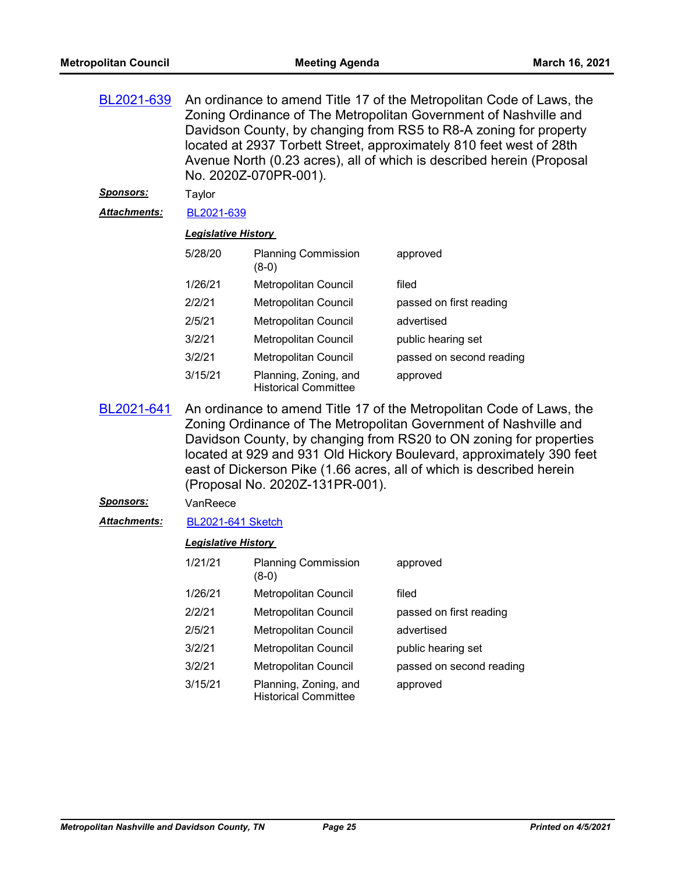| BL2021-639           | An ordinance to amend Title 17 of the Metropolitan Code of Laws, the<br>Zoning Ordinance of The Metropolitan Government of Nashville and<br>Davidson County, by changing from RS5 to R8-A zoning for property<br>located at 2937 Torbett Street, approximately 810 feet west of 28th<br>Avenue North (0.23 acres), all of which is described herein (Proposal<br>No. 2020Z-070PR-001). |                                                      |                          |  |
|----------------------|----------------------------------------------------------------------------------------------------------------------------------------------------------------------------------------------------------------------------------------------------------------------------------------------------------------------------------------------------------------------------------------|------------------------------------------------------|--------------------------|--|
| <u>Sponsors:</u>     | Taylor                                                                                                                                                                                                                                                                                                                                                                                 |                                                      |                          |  |
| <u> Attachments:</u> | BL2021-639                                                                                                                                                                                                                                                                                                                                                                             |                                                      |                          |  |
|                      | <b>Legislative History</b>                                                                                                                                                                                                                                                                                                                                                             |                                                      |                          |  |
|                      | 5/28/20                                                                                                                                                                                                                                                                                                                                                                                | <b>Planning Commission</b><br>$(8-0)$                | approved                 |  |
|                      | 1/26/21                                                                                                                                                                                                                                                                                                                                                                                | Metropolitan Council                                 | filed                    |  |
|                      | 2/2/21                                                                                                                                                                                                                                                                                                                                                                                 | Metropolitan Council                                 | passed on first reading  |  |
|                      | 2/5/21                                                                                                                                                                                                                                                                                                                                                                                 | Metropolitan Council                                 | advertised               |  |
|                      | 3/2/21                                                                                                                                                                                                                                                                                                                                                                                 | Metropolitan Council                                 | public hearing set       |  |
|                      | 3/2/21                                                                                                                                                                                                                                                                                                                                                                                 | Metropolitan Council                                 | passed on second reading |  |
|                      | 3/15/21                                                                                                                                                                                                                                                                                                                                                                                | Planning, Zoning, and<br><b>Historical Committee</b> | approved                 |  |

- An ordinance to amend Title 17 of the Metropolitan Code of Laws, the Zoning Ordinance of The Metropolitan Government of Nashville and Davidson County, by changing from RS20 to ON zoning for properties located at 929 and 931 Old Hickory Boulevard, approximately 390 feet east of Dickerson Pike (1.66 acres, all of which is described herein (Proposal No. 2020Z-131PR-001). [BL2021-641](http://nashville.legistar.com/gateway.aspx?m=l&id=/matter.aspx?key=1844)
- *Sponsors:* VanReece
- *Attachments:* [BL2021-641 Sketch](http://nashville.legistar.com/gateway.aspx?M=F&ID=e03eb4e1-6f48-4c92-a869-02372d852d83.docx)

| 1/21/21 | <b>Planning Commission</b><br>(8-0)                  | approved                 |
|---------|------------------------------------------------------|--------------------------|
| 1/26/21 | Metropolitan Council                                 | filed                    |
| 2/2/21  | <b>Metropolitan Council</b>                          | passed on first reading  |
| 2/5/21  | <b>Metropolitan Council</b>                          | advertised               |
| 3/2/21  | <b>Metropolitan Council</b>                          | public hearing set       |
| 3/2/21  | <b>Metropolitan Council</b>                          | passed on second reading |
| 3/15/21 | Planning, Zoning, and<br><b>Historical Committee</b> | approved                 |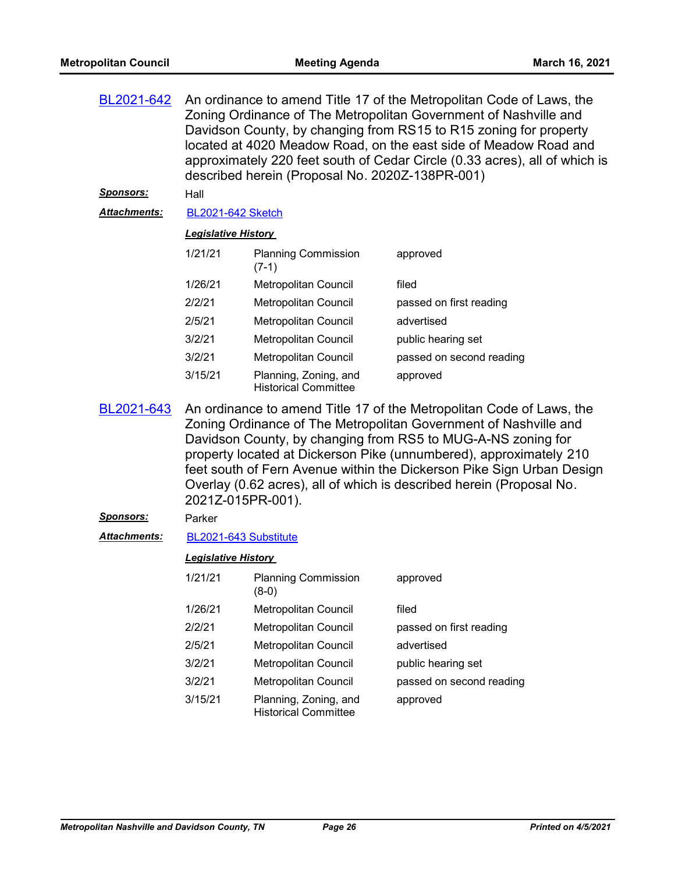| BL2021-642        | An ordinance to amend Title 17 of the Metropolitan Code of Laws, the<br>Zoning Ordinance of The Metropolitan Government of Nashville and<br>Davidson County, by changing from RS15 to R15 zoning for property<br>located at 4020 Meadow Road, on the east side of Meadow Road and<br>approximately 220 feet south of Cedar Circle (0.33 acres), all of which is<br>described herein (Proposal No. 2020Z-138PR-001) |                                                      |                          |  |
|-------------------|--------------------------------------------------------------------------------------------------------------------------------------------------------------------------------------------------------------------------------------------------------------------------------------------------------------------------------------------------------------------------------------------------------------------|------------------------------------------------------|--------------------------|--|
| <u> Sponsors:</u> | Hall                                                                                                                                                                                                                                                                                                                                                                                                               |                                                      |                          |  |
| Attachments:      | <b>BL2021-642 Sketch</b>                                                                                                                                                                                                                                                                                                                                                                                           |                                                      |                          |  |
|                   | <b>Legislative History</b>                                                                                                                                                                                                                                                                                                                                                                                         |                                                      |                          |  |
|                   | 1/21/21                                                                                                                                                                                                                                                                                                                                                                                                            | <b>Planning Commission</b><br>$(7-1)$                | approved                 |  |
|                   | 1/26/21                                                                                                                                                                                                                                                                                                                                                                                                            | Metropolitan Council                                 | filed                    |  |
|                   | 2/2/21                                                                                                                                                                                                                                                                                                                                                                                                             | Metropolitan Council                                 | passed on first reading  |  |
|                   | 2/5/21                                                                                                                                                                                                                                                                                                                                                                                                             | Metropolitan Council                                 | advertised               |  |
|                   | 3/2/21                                                                                                                                                                                                                                                                                                                                                                                                             | Metropolitan Council                                 | public hearing set       |  |
|                   | 3/2/21                                                                                                                                                                                                                                                                                                                                                                                                             | Metropolitan Council                                 | passed on second reading |  |
|                   | 3/15/21                                                                                                                                                                                                                                                                                                                                                                                                            | Planning, Zoning, and<br><b>Historical Committee</b> | approved                 |  |
| BL2021-643        | An ordinance to amend Title 17 of the Metropolitan Code of Laws, the                                                                                                                                                                                                                                                                                                                                               |                                                      |                          |  |

Zoning Ordinance of The Metropolitan Government of Nashville and Davidson County, by changing from RS5 to MUG-A-NS zoning for property located at Dickerson Pike (unnumbered), approximately 210 feet south of Fern Avenue within the Dickerson Pike Sign Urban Design Overlay (0.62 acres), all of which is described herein (Proposal No. 2021Z-015PR-001). [BL2021-643](http://nashville.legistar.com/gateway.aspx?m=l&id=/matter.aspx?key=1865)

#### *Sponsors:* Parker

*Attachments:* [BL2021-643 Substitute](http://nashville.legistar.com/gateway.aspx?M=F&ID=dc314b6f-feea-4cb0-aca8-ea7328f51a9b.docx)

| 1/21/21 | <b>Planning Commission</b><br>(8-0)                  | approved                 |
|---------|------------------------------------------------------|--------------------------|
| 1/26/21 | Metropolitan Council                                 | filed                    |
| 2/2/21  | Metropolitan Council                                 | passed on first reading  |
| 2/5/21  | <b>Metropolitan Council</b>                          | advertised               |
| 3/2/21  | Metropolitan Council                                 | public hearing set       |
| 3/2/21  | Metropolitan Council                                 | passed on second reading |
| 3/15/21 | Planning, Zoning, and<br><b>Historical Committee</b> | approved                 |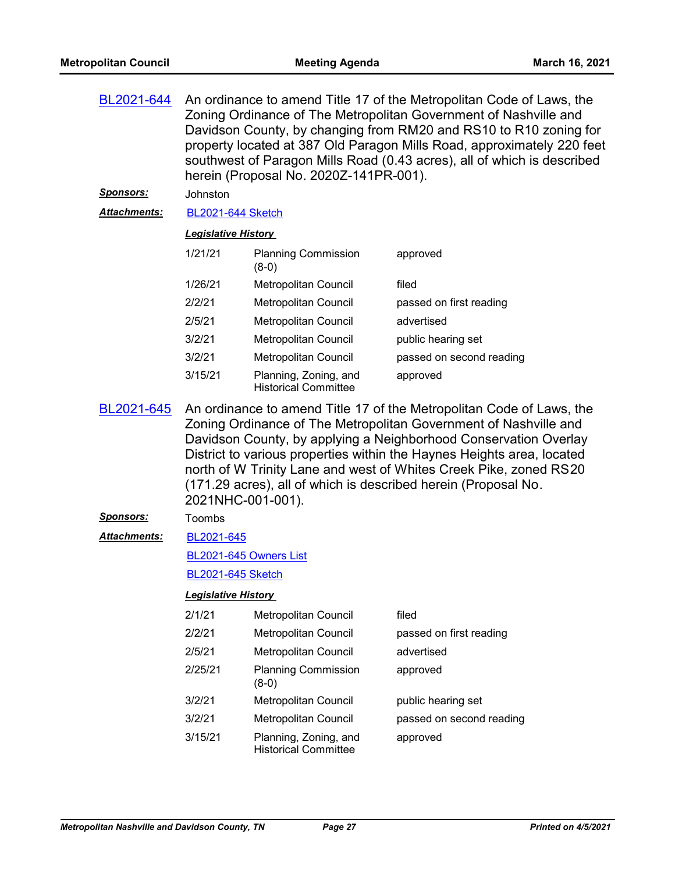| An ordinance to amend Title 17 of the Metropolitan Code of Laws, the<br>Zoning Ordinance of The Metropolitan Government of Nashville and<br>Davidson County, by changing from RM20 and RS10 to R10 zoning for<br>property located at 387 Old Paragon Mills Road, approximately 220 feet<br>southwest of Paragon Mills Road (0.43 acres), all of which is described<br>herein (Proposal No. 2020Z-141PR-001).                  |                                                      |                                                                                                                                   |  |
|-------------------------------------------------------------------------------------------------------------------------------------------------------------------------------------------------------------------------------------------------------------------------------------------------------------------------------------------------------------------------------------------------------------------------------|------------------------------------------------------|-----------------------------------------------------------------------------------------------------------------------------------|--|
|                                                                                                                                                                                                                                                                                                                                                                                                                               |                                                      |                                                                                                                                   |  |
|                                                                                                                                                                                                                                                                                                                                                                                                                               |                                                      |                                                                                                                                   |  |
|                                                                                                                                                                                                                                                                                                                                                                                                                               |                                                      |                                                                                                                                   |  |
| 1/21/21                                                                                                                                                                                                                                                                                                                                                                                                                       | <b>Planning Commission</b><br>$(8-0)$                | approved                                                                                                                          |  |
| 1/26/21                                                                                                                                                                                                                                                                                                                                                                                                                       | Metropolitan Council                                 | filed                                                                                                                             |  |
| 2/2/21                                                                                                                                                                                                                                                                                                                                                                                                                        | Metropolitan Council                                 | passed on first reading                                                                                                           |  |
| 2/5/21                                                                                                                                                                                                                                                                                                                                                                                                                        | Metropolitan Council                                 | advertised                                                                                                                        |  |
| 3/2/21                                                                                                                                                                                                                                                                                                                                                                                                                        | Metropolitan Council                                 | public hearing set                                                                                                                |  |
| 3/2/21                                                                                                                                                                                                                                                                                                                                                                                                                        | Metropolitan Council                                 | passed on second reading                                                                                                          |  |
| 3/15/21                                                                                                                                                                                                                                                                                                                                                                                                                       | Planning, Zoning, and<br><b>Historical Committee</b> | approved                                                                                                                          |  |
| An ordinance to amend Title 17 of the Metropolitan Code of Laws, the<br>Zoning Ordinance of The Metropolitan Government of Nashville and<br>Davidson County, by applying a Neighborhood Conservation Overlay<br>District to various properties within the Haynes Heights area, located<br>north of W Trinity Lane and west of Whites Creek Pike, zoned RS20<br>(171.29 acres), all of which is described herein (Proposal No. |                                                      |                                                                                                                                   |  |
| Toombs                                                                                                                                                                                                                                                                                                                                                                                                                        |                                                      |                                                                                                                                   |  |
| BL2021-645                                                                                                                                                                                                                                                                                                                                                                                                                    |                                                      |                                                                                                                                   |  |
|                                                                                                                                                                                                                                                                                                                                                                                                                               |                                                      |                                                                                                                                   |  |
|                                                                                                                                                                                                                                                                                                                                                                                                                               |                                                      |                                                                                                                                   |  |
| <b>Legislative History</b>                                                                                                                                                                                                                                                                                                                                                                                                    |                                                      |                                                                                                                                   |  |
| 2/1/21                                                                                                                                                                                                                                                                                                                                                                                                                        | Metropolitan Council                                 | filed                                                                                                                             |  |
| 2/2/21                                                                                                                                                                                                                                                                                                                                                                                                                        | Metropolitan Council                                 | passed on first reading                                                                                                           |  |
| 2/5/21                                                                                                                                                                                                                                                                                                                                                                                                                        | Metropolitan Council                                 | advertised                                                                                                                        |  |
| 2/25/21                                                                                                                                                                                                                                                                                                                                                                                                                       | <b>Planning Commission</b><br>$(8-0)$                | approved                                                                                                                          |  |
| 3/2/21                                                                                                                                                                                                                                                                                                                                                                                                                        | Metropolitan Council                                 | public hearing set                                                                                                                |  |
| 3/2/21                                                                                                                                                                                                                                                                                                                                                                                                                        | <b>Metropolitan Council</b>                          | passed on second reading                                                                                                          |  |
| 3/15/21                                                                                                                                                                                                                                                                                                                                                                                                                       | Planning, Zoning, and<br><b>Historical Committee</b> | approved                                                                                                                          |  |
|                                                                                                                                                                                                                                                                                                                                                                                                                               | Johnston                                             | <b>BL2021-644 Sketch</b><br><b>Legislative History</b><br>2021NHC-001-001).<br>BL2021-645 Owners List<br><b>BL2021-645 Sketch</b> |  |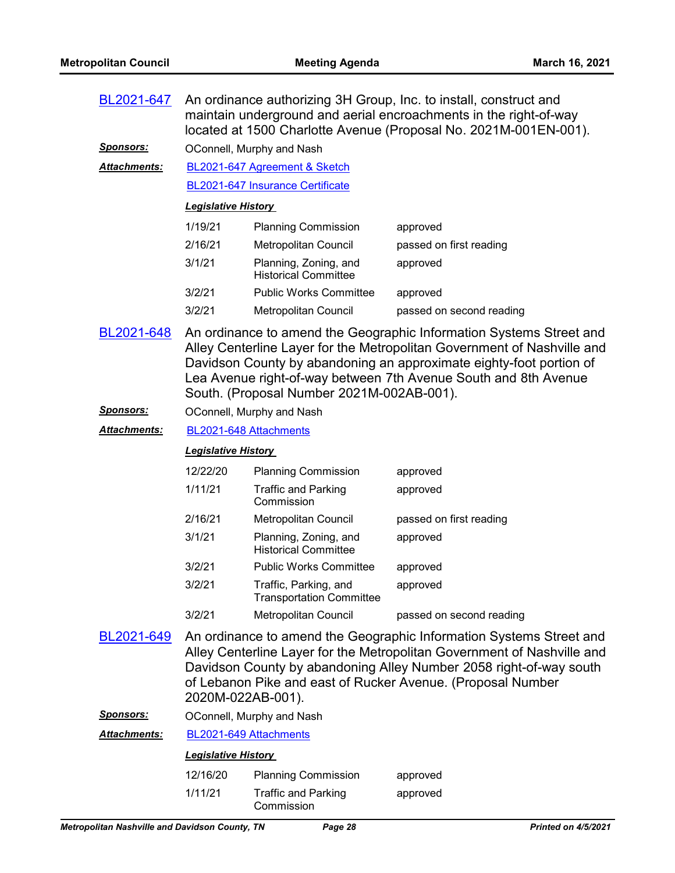| BL2021-647       | An ordinance authorizing 3H Group, Inc. to install, construct and<br>maintain underground and aerial encroachments in the right-of-way<br>located at 1500 Charlotte Avenue (Proposal No. 2021M-001EN-001).                                                                                                                            |                                                          |                                                                                                                                                                                                                                                                                     |
|------------------|---------------------------------------------------------------------------------------------------------------------------------------------------------------------------------------------------------------------------------------------------------------------------------------------------------------------------------------|----------------------------------------------------------|-------------------------------------------------------------------------------------------------------------------------------------------------------------------------------------------------------------------------------------------------------------------------------------|
| <u>Sponsors:</u> | OConnell, Murphy and Nash                                                                                                                                                                                                                                                                                                             |                                                          |                                                                                                                                                                                                                                                                                     |
| Attachments:     | BL2021-647 Agreement & Sketch                                                                                                                                                                                                                                                                                                         |                                                          |                                                                                                                                                                                                                                                                                     |
|                  | BL2021-647 Insurance Certificate                                                                                                                                                                                                                                                                                                      |                                                          |                                                                                                                                                                                                                                                                                     |
|                  | <b>Legislative History</b>                                                                                                                                                                                                                                                                                                            |                                                          |                                                                                                                                                                                                                                                                                     |
|                  | 1/19/21                                                                                                                                                                                                                                                                                                                               | <b>Planning Commission</b>                               | approved                                                                                                                                                                                                                                                                            |
|                  | 2/16/21                                                                                                                                                                                                                                                                                                                               | Metropolitan Council                                     | passed on first reading                                                                                                                                                                                                                                                             |
|                  | 3/1/21                                                                                                                                                                                                                                                                                                                                | Planning, Zoning, and<br><b>Historical Committee</b>     | approved                                                                                                                                                                                                                                                                            |
|                  | 3/2/21                                                                                                                                                                                                                                                                                                                                | <b>Public Works Committee</b>                            | approved                                                                                                                                                                                                                                                                            |
|                  | 3/2/21                                                                                                                                                                                                                                                                                                                                | Metropolitan Council                                     | passed on second reading                                                                                                                                                                                                                                                            |
| BL2021-648       | An ordinance to amend the Geographic Information Systems Street and<br>Alley Centerline Layer for the Metropolitan Government of Nashville and<br>Davidson County by abandoning an approximate eighty-foot portion of<br>Lea Avenue right-of-way between 7th Avenue South and 8th Avenue<br>South. (Proposal Number 2021M-002AB-001). |                                                          |                                                                                                                                                                                                                                                                                     |
| <u>Sponsors:</u> |                                                                                                                                                                                                                                                                                                                                       | OConnell, Murphy and Nash                                |                                                                                                                                                                                                                                                                                     |
| Attachments:     | BL2021-648 Attachments                                                                                                                                                                                                                                                                                                                |                                                          |                                                                                                                                                                                                                                                                                     |
|                  |                                                                                                                                                                                                                                                                                                                                       |                                                          |                                                                                                                                                                                                                                                                                     |
|                  | <b>Legislative History</b>                                                                                                                                                                                                                                                                                                            |                                                          |                                                                                                                                                                                                                                                                                     |
|                  | 12/22/20                                                                                                                                                                                                                                                                                                                              | <b>Planning Commission</b>                               | approved                                                                                                                                                                                                                                                                            |
|                  | 1/11/21                                                                                                                                                                                                                                                                                                                               | <b>Traffic and Parking</b><br>Commission                 | approved                                                                                                                                                                                                                                                                            |
|                  | 2/16/21                                                                                                                                                                                                                                                                                                                               | Metropolitan Council                                     | passed on first reading                                                                                                                                                                                                                                                             |
|                  | 3/1/21                                                                                                                                                                                                                                                                                                                                | Planning, Zoning, and<br><b>Historical Committee</b>     | approved                                                                                                                                                                                                                                                                            |
|                  | 3/2/21                                                                                                                                                                                                                                                                                                                                | <b>Public Works Committee</b>                            | approved                                                                                                                                                                                                                                                                            |
|                  | 3/2/21                                                                                                                                                                                                                                                                                                                                | Traffic, Parking, and<br><b>Transportation Committee</b> | approved                                                                                                                                                                                                                                                                            |
|                  | 3/2/21                                                                                                                                                                                                                                                                                                                                | Metropolitan Council                                     | passed on second reading                                                                                                                                                                                                                                                            |
| BL2021-649       | 2020M-022AB-001).                                                                                                                                                                                                                                                                                                                     |                                                          | An ordinance to amend the Geographic Information Systems Street and<br>Alley Centerline Layer for the Metropolitan Government of Nashville and<br>Davidson County by abandoning Alley Number 2058 right-of-way south<br>of Lebanon Pike and east of Rucker Avenue. (Proposal Number |
| <u>Sponsors:</u> |                                                                                                                                                                                                                                                                                                                                       | OConnell, Murphy and Nash                                |                                                                                                                                                                                                                                                                                     |
| Attachments:     | BL2021-649 Attachments                                                                                                                                                                                                                                                                                                                |                                                          |                                                                                                                                                                                                                                                                                     |

#### 12/16/20 Planning Commission approved 1/11/21 Traffic and Parking Commission approved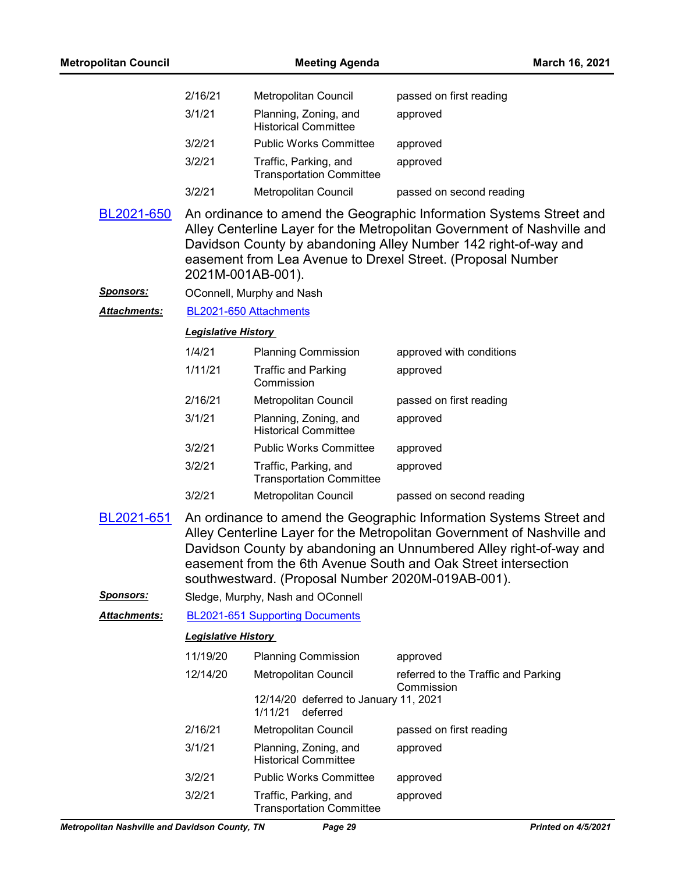| <b>Metropolitan Council</b>    |                            | <b>Meeting Agenda</b>                                                                  | March 16, 2021                                                                                                                                                                                                                                                                         |
|--------------------------------|----------------------------|----------------------------------------------------------------------------------------|----------------------------------------------------------------------------------------------------------------------------------------------------------------------------------------------------------------------------------------------------------------------------------------|
|                                | 2/16/21                    | Metropolitan Council                                                                   | passed on first reading                                                                                                                                                                                                                                                                |
|                                | 3/1/21                     | Planning, Zoning, and<br><b>Historical Committee</b>                                   | approved                                                                                                                                                                                                                                                                               |
|                                | 3/2/21                     | <b>Public Works Committee</b>                                                          | approved                                                                                                                                                                                                                                                                               |
|                                | 3/2/21                     | Traffic, Parking, and<br><b>Transportation Committee</b>                               | approved                                                                                                                                                                                                                                                                               |
|                                | 3/2/21                     | <b>Metropolitan Council</b>                                                            | passed on second reading                                                                                                                                                                                                                                                               |
| BL2021-650                     | 2021M-001AB-001).          |                                                                                        | An ordinance to amend the Geographic Information Systems Street and<br>Alley Centerline Layer for the Metropolitan Government of Nashville and<br>Davidson County by abandoning Alley Number 142 right-of-way and<br>easement from Lea Avenue to Drexel Street. (Proposal Number       |
| <u>Sponsors:</u>               |                            | OConnell, Murphy and Nash                                                              |                                                                                                                                                                                                                                                                                        |
| <b>Attachments:</b>            | BL2021-650 Attachments     |                                                                                        |                                                                                                                                                                                                                                                                                        |
|                                | <b>Legislative History</b> |                                                                                        |                                                                                                                                                                                                                                                                                        |
|                                | 1/4/21                     | <b>Planning Commission</b>                                                             | approved with conditions                                                                                                                                                                                                                                                               |
|                                | 1/11/21                    | <b>Traffic and Parking</b><br>Commission                                               | approved                                                                                                                                                                                                                                                                               |
|                                | 2/16/21                    | Metropolitan Council                                                                   | passed on first reading                                                                                                                                                                                                                                                                |
|                                | 3/1/21                     | Planning, Zoning, and<br><b>Historical Committee</b>                                   | approved                                                                                                                                                                                                                                                                               |
|                                | 3/2/21                     | <b>Public Works Committee</b>                                                          | approved                                                                                                                                                                                                                                                                               |
|                                | 3/2/21                     | Traffic, Parking, and<br><b>Transportation Committee</b>                               | approved                                                                                                                                                                                                                                                                               |
|                                | 3/2/21                     | <b>Metropolitan Council</b>                                                            | passed on second reading                                                                                                                                                                                                                                                               |
| BL2021-651<br><u>Sponsors:</u> |                            | southwestward. (Proposal Number 2020M-019AB-001).<br>Sledge, Murphy, Nash and OConnell | An ordinance to amend the Geographic Information Systems Street and<br>Alley Centerline Layer for the Metropolitan Government of Nashville and<br>Davidson County by abandoning an Unnumbered Alley right-of-way and<br>easement from the 6th Avenue South and Oak Street intersection |
| <u> Attachments:</u>           |                            | BL2021-651 Supporting Documents                                                        |                                                                                                                                                                                                                                                                                        |
|                                | <b>Legislative History</b> |                                                                                        |                                                                                                                                                                                                                                                                                        |
|                                | 11/19/20                   | <b>Planning Commission</b>                                                             | approved                                                                                                                                                                                                                                                                               |
|                                | 12/14/20                   | Metropolitan Council                                                                   | referred to the Traffic and Parking<br>Commission                                                                                                                                                                                                                                      |
|                                |                            | 12/14/20 deferred to January 11, 2021<br>1/11/21<br>deferred                           |                                                                                                                                                                                                                                                                                        |
|                                | 2/16/21                    | Metropolitan Council                                                                   | passed on first reading                                                                                                                                                                                                                                                                |
|                                | 3/1/21                     | Planning, Zoning, and<br><b>Historical Committee</b>                                   | approved                                                                                                                                                                                                                                                                               |
|                                | 3/2/21                     | <b>Public Works Committee</b>                                                          | approved                                                                                                                                                                                                                                                                               |
|                                | 3/2/21                     | Traffic, Parking, and<br><b>Transportation Committee</b>                               | approved                                                                                                                                                                                                                                                                               |